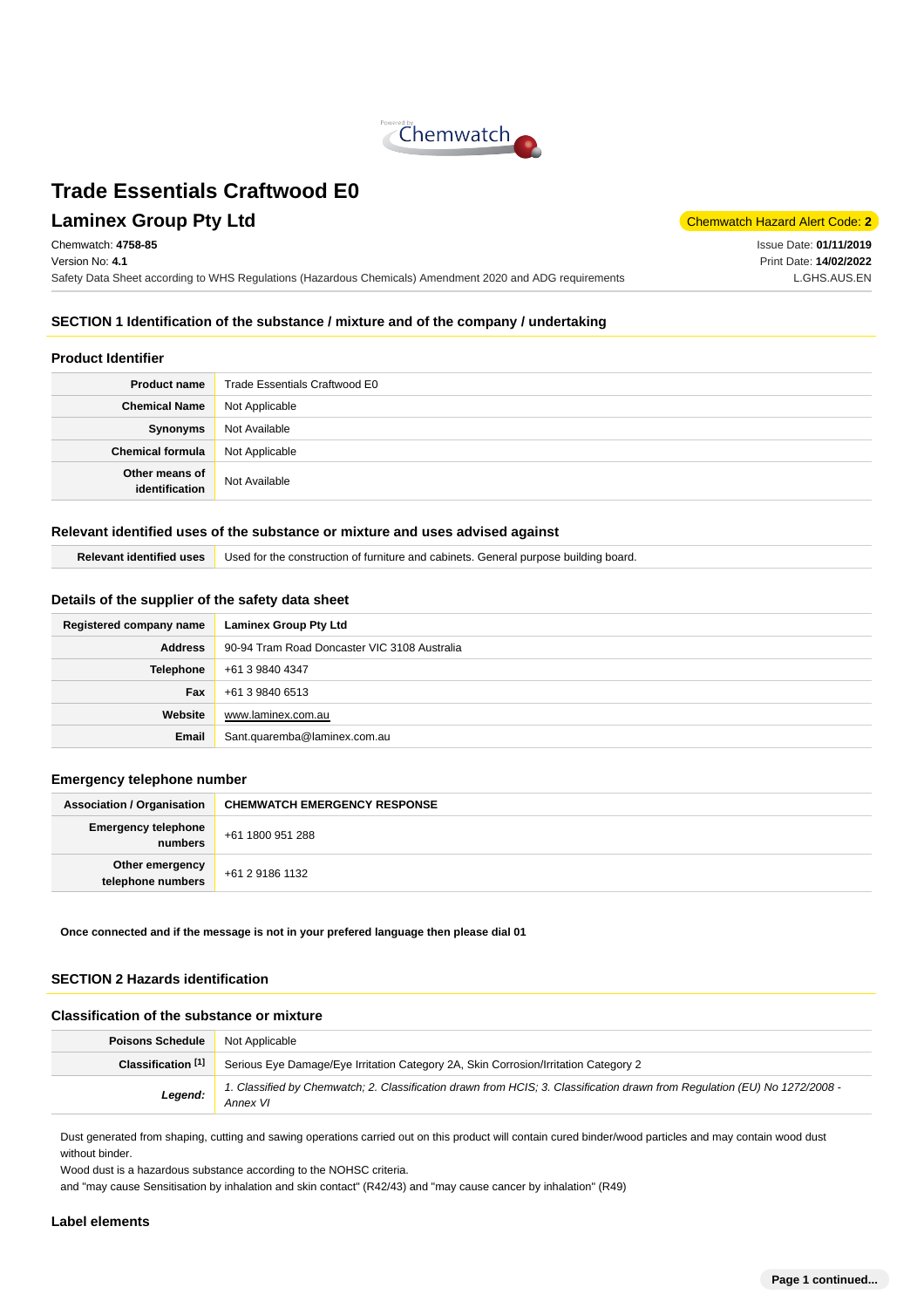

## **Laminex Group Pty Ltd** Chemwatch Hazard Alert Code: 2

Chemwatch: **4758-85** Version No: **4.1**

Safety Data Sheet according to WHS Regulations (Hazardous Chemicals) Amendment 2020 and ADG requirements

Issue Date: **01/11/2019** Print Date: **14/02/2022** L.GHS.AUS.EN

## **SECTION 1 Identification of the substance / mixture and of the company / undertaking**

#### **Product Identifier**

| <b>Product name</b>              | Trade Essentials Craftwood E0 |  |
|----------------------------------|-------------------------------|--|
| <b>Chemical Name</b>             | Not Applicable                |  |
| Synonyms                         | Not Available                 |  |
| <b>Chemical formula</b>          | Not Applicable                |  |
| Other means of<br>identification | Not Available                 |  |

#### **Relevant identified uses of the substance or mixture and uses advised against**

| <b>Relevant identified uses</b> Used for the construction of furniture and cabinets. General purpose building board. |  |
|----------------------------------------------------------------------------------------------------------------------|--|
|----------------------------------------------------------------------------------------------------------------------|--|

#### **Details of the supplier of the safety data sheet**

| Registered company name | <b>Laminex Group Pty Ltd</b>                 |  |  |
|-------------------------|----------------------------------------------|--|--|
| <b>Address</b>          | 90-94 Tram Road Doncaster VIC 3108 Australia |  |  |
| Telephone               | +61 3 9840 4347                              |  |  |
| Fax                     | +61 3 9840 6513                              |  |  |
| Website                 | www.laminex.com.au                           |  |  |
| Email                   | Sant.quaremba@laminex.com.au                 |  |  |

#### **Emergency telephone number**

| <b>Association / Organisation</b>     | <b>CHEMWATCH EMERGENCY RESPONSE</b> |  |
|---------------------------------------|-------------------------------------|--|
| <b>Emergency telephone</b><br>numbers | +61 1800 951 288                    |  |
| Other emergency<br>telephone numbers  | +61 2 9186 1132                     |  |

**Once connected and if the message is not in your prefered language then please dial 01**

## **SECTION 2 Hazards identification**

#### **Classification of the substance or mixture**

| <b>Poisons Schedule</b> | Not Applicable                                                                                                                         |  |  |
|-------------------------|----------------------------------------------------------------------------------------------------------------------------------------|--|--|
| Classification [1]      | Serious Eye Damage/Eye Irritation Category 2A, Skin Corrosion/Irritation Category 2                                                    |  |  |
| Legend:                 | 1. Classified by Chemwatch; 2. Classification drawn from HCIS; 3. Classification drawn from Regulation (EU) No 1272/2008 -<br>Annex VI |  |  |

Dust generated from shaping, cutting and sawing operations carried out on this product will contain cured binder/wood particles and may contain wood dust without binder.

Wood dust is a hazardous substance according to the NOHSC criteria.

and "may cause Sensitisation by inhalation and skin contact" (R42/43) and "may cause cancer by inhalation" (R49)

#### **Label elements**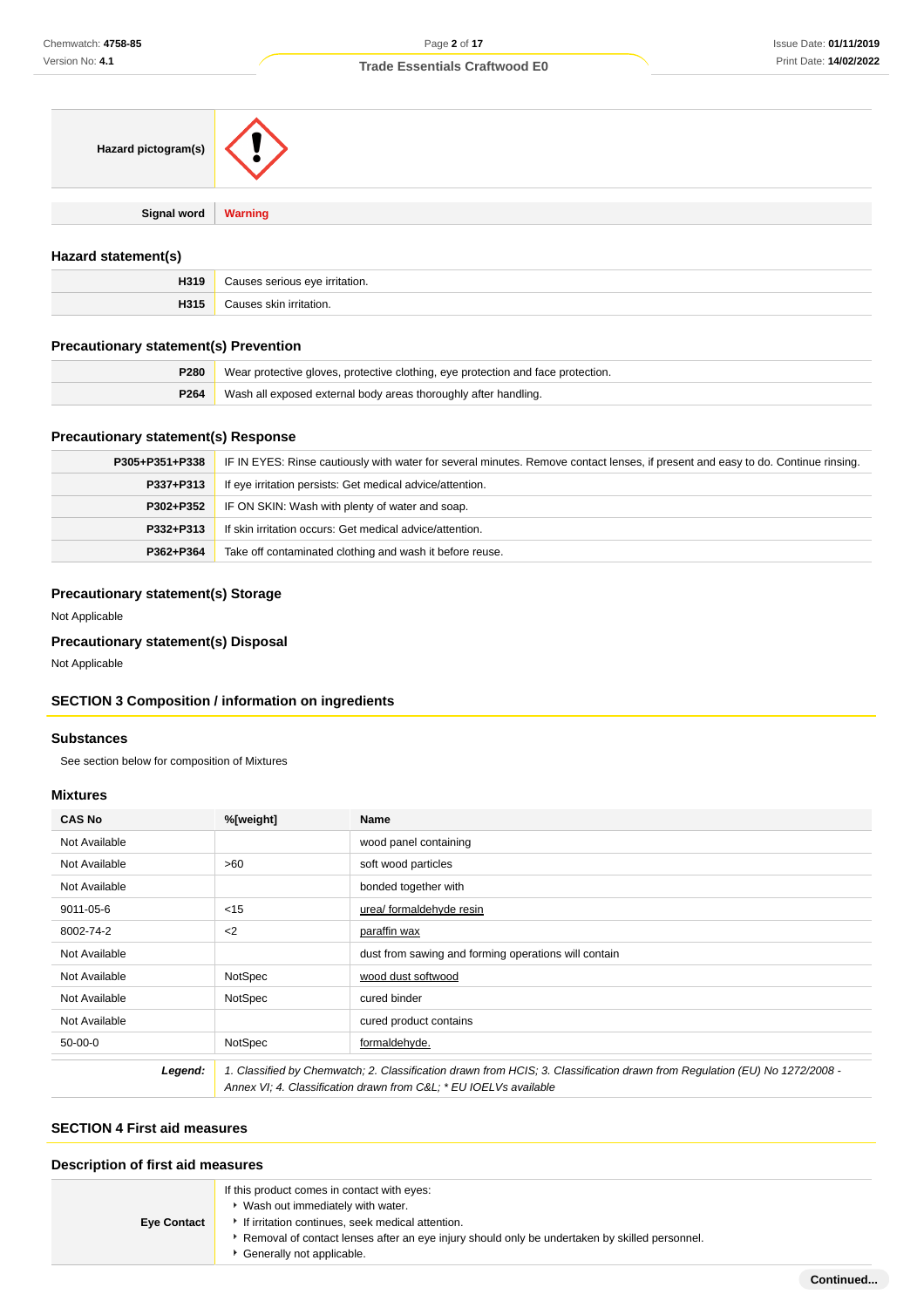| Hazard pictogram(s)   |  |
|-----------------------|--|
|                       |  |
| Signal word   Warning |  |
|                       |  |

## **Hazard statement(s)**

| H319 | `~∙<br>™ritation. |  |
|------|-------------------|--|
| H315 | urritation.       |  |

## **Precautionary statement(s) Prevention**

| <b>P280</b>      | Wear protective gloves, protective clothing, eye protection and face protection. |  |
|------------------|----------------------------------------------------------------------------------|--|
| P <sub>264</sub> | Wash all exposed external body areas thoroughly after handling.                  |  |

## **Precautionary statement(s) Response**

| P305+P351+P338 | IF IN EYES: Rinse cautiously with water for several minutes. Remove contact lenses, if present and easy to do. Continue rinsing. |  |
|----------------|----------------------------------------------------------------------------------------------------------------------------------|--|
| P337+P313      | If eye irritation persists: Get medical advice/attention.                                                                        |  |
| P302+P352      | IF ON SKIN: Wash with plenty of water and soap.                                                                                  |  |
| P332+P313      | If skin irritation occurs: Get medical advice/attention.                                                                         |  |
| P362+P364      | Take off contaminated clothing and wash it before reuse.                                                                         |  |

## **Precautionary statement(s) Storage**

Not Applicable

## **Precautionary statement(s) Disposal**

Not Applicable

## **SECTION 3 Composition / information on ingredients**

#### **Substances**

See section below for composition of Mixtures

## **Mixtures**

| <b>CAS No</b> | %[weight] | Name                                                                                                                                                                                           |
|---------------|-----------|------------------------------------------------------------------------------------------------------------------------------------------------------------------------------------------------|
| Not Available |           | wood panel containing                                                                                                                                                                          |
| Not Available | >60       | soft wood particles                                                                                                                                                                            |
| Not Available |           | bonded together with                                                                                                                                                                           |
| 9011-05-6     | < 15      | urea/ formaldehyde resin                                                                                                                                                                       |
| 8002-74-2     | $2$       | paraffin wax                                                                                                                                                                                   |
| Not Available |           | dust from sawing and forming operations will contain                                                                                                                                           |
| Not Available | NotSpec   | wood dust softwood                                                                                                                                                                             |
| Not Available | NotSpec   | cured binder                                                                                                                                                                                   |
| Not Available |           | cured product contains                                                                                                                                                                         |
| $50-00-0$     | NotSpec   | formaldehyde.                                                                                                                                                                                  |
| Legend:       |           | 1. Classified by Chemwatch; 2. Classification drawn from HCIS; 3. Classification drawn from Regulation (EU) No 1272/2008 -<br>Annex VI; 4. Classification drawn from C&L * EU IOELVs available |

## **SECTION 4 First aid measures**

## **Description of first aid measures**

| <b>Eye Contact</b> | If this product comes in contact with eyes:<br>Wash out immediately with water.<br>If irritation continues, seek medical attention. |
|--------------------|-------------------------------------------------------------------------------------------------------------------------------------|
|                    | Removal of contact lenses after an eye injury should only be undertaken by skilled personnel.<br>Generally not applicable.          |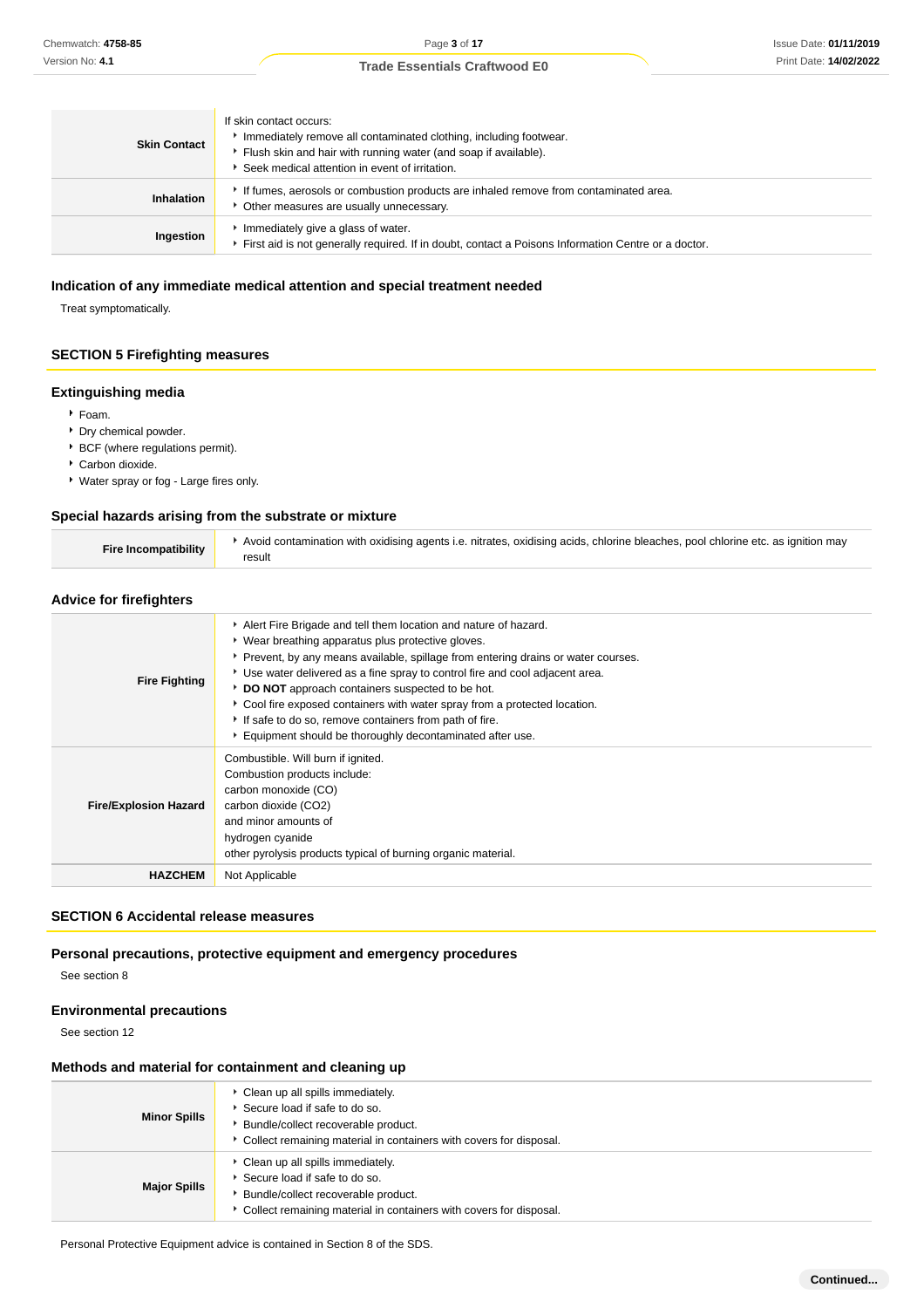| <b>Skin Contact</b> | If skin contact occurs:<br>Immediately remove all contaminated clothing, including footwear.<br>Flush skin and hair with running water (and soap if available).<br>Seek medical attention in event of irritation. |  |
|---------------------|-------------------------------------------------------------------------------------------------------------------------------------------------------------------------------------------------------------------|--|
| <b>Inhalation</b>   | If fumes, aerosols or combustion products are inhaled remove from contaminated area.<br>• Other measures are usually unnecessary.                                                                                 |  |
| Ingestion           | Immediately give a glass of water.<br>First aid is not generally required. If in doubt, contact a Poisons Information Centre or a doctor.                                                                         |  |

#### **Indication of any immediate medical attention and special treatment needed**

Treat symptomatically.

## **SECTION 5 Firefighting measures**

#### **Extinguishing media**

- Foam.
- Dry chemical powder.
- BCF (where regulations permit).
- Carbon dioxide.
- Water spray or fog Large fires only.

#### **Special hazards arising from the substrate or mixture**

| Fire Incompatibility |
|----------------------|
|----------------------|

## **Advice for firefighters**

| <b>Fire Fighting</b>         | Alert Fire Brigade and tell them location and nature of hazard.<br>▶ Wear breathing apparatus plus protective gloves.<br>Prevent, by any means available, spillage from entering drains or water courses.<br>► Use water delivered as a fine spray to control fire and cool adjacent area.<br>DO NOT approach containers suspected to be hot.<br>▶ Cool fire exposed containers with water spray from a protected location.<br>If safe to do so, remove containers from path of fire.<br>Equipment should be thoroughly decontaminated after use. |
|------------------------------|---------------------------------------------------------------------------------------------------------------------------------------------------------------------------------------------------------------------------------------------------------------------------------------------------------------------------------------------------------------------------------------------------------------------------------------------------------------------------------------------------------------------------------------------------|
| <b>Fire/Explosion Hazard</b> | Combustible. Will burn if ignited.<br>Combustion products include:<br>carbon monoxide (CO)<br>carbon dioxide (CO2)<br>and minor amounts of<br>hydrogen cyanide<br>other pyrolysis products typical of burning organic material.                                                                                                                                                                                                                                                                                                                   |
| <b>HAZCHEM</b>               | Not Applicable                                                                                                                                                                                                                                                                                                                                                                                                                                                                                                                                    |

## **SECTION 6 Accidental release measures**

#### **Personal precautions, protective equipment and emergency procedures**

See section 8

#### **Environmental precautions**

See section 12

#### **Methods and material for containment and cleaning up**

| <b>Minor Spills</b> | • Clean up all spills immediately.<br>Secure load if safe to do so.<br>Bundle/collect recoverable product.<br>Collect remaining material in containers with covers for disposal. |
|---------------------|----------------------------------------------------------------------------------------------------------------------------------------------------------------------------------|
| <b>Major Spills</b> | • Clean up all spills immediately.<br>Secure load if safe to do so.<br>Bundle/collect recoverable product.<br>Collect remaining material in containers with covers for disposal. |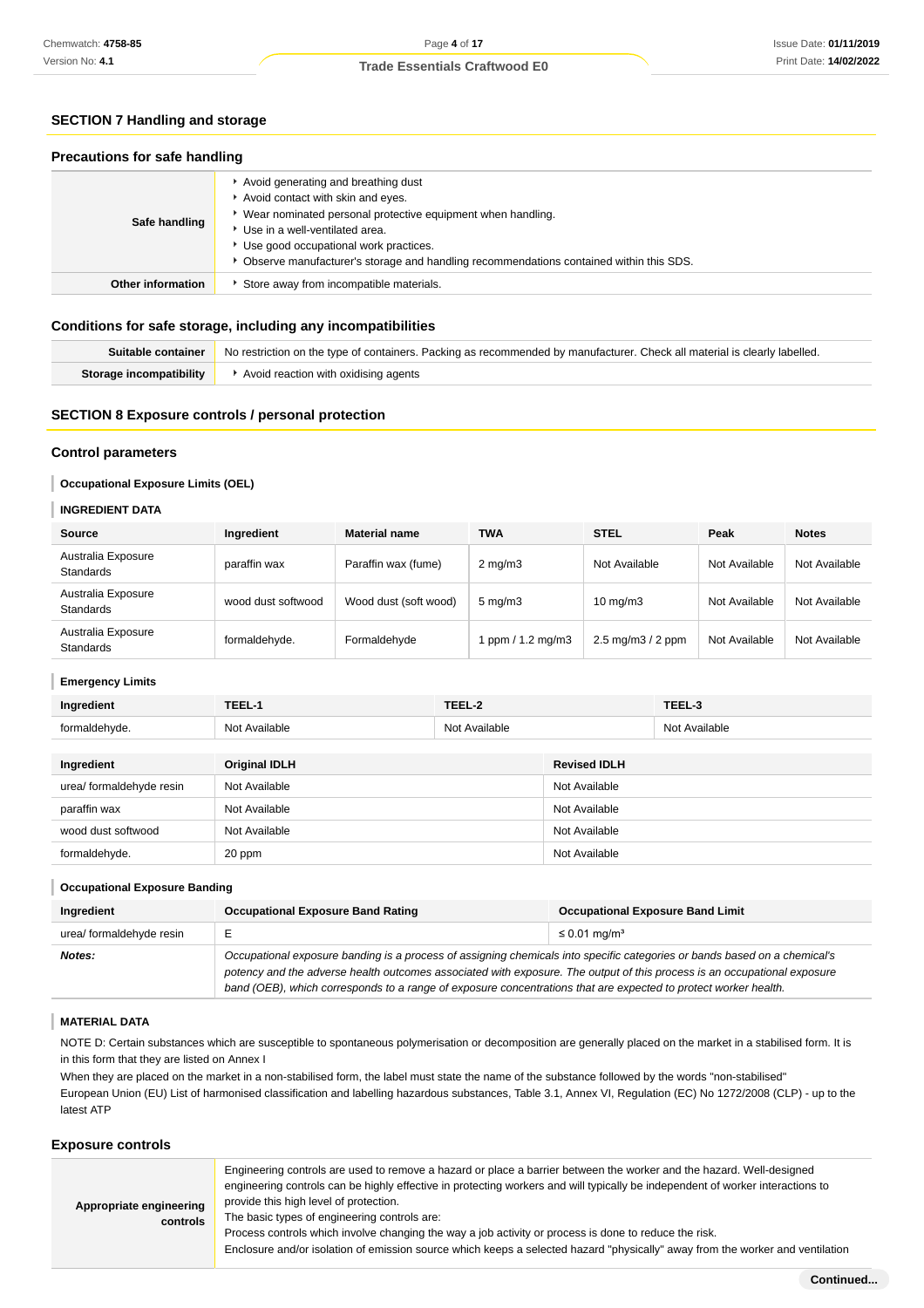## **SECTION 7 Handling and storage**

#### **Precautions for safe handling**

| Safe handling            | Avoid generating and breathing dust<br>Avoid contact with skin and eyes.<br>Wear nominated personal protective equipment when handling.<br>Use in a well-ventilated area.<br>Use good occupational work practices.<br>Observe manufacturer's storage and handling recommendations contained within this SDS. |
|--------------------------|--------------------------------------------------------------------------------------------------------------------------------------------------------------------------------------------------------------------------------------------------------------------------------------------------------------|
| <b>Other information</b> | Store away from incompatible materials.                                                                                                                                                                                                                                                                      |

#### **Conditions for safe storage, including any incompatibilities**

| Suitable container      | No restriction on the type of containers. Packing as recommended by manufacturer. Check all material is clearly labelled. |
|-------------------------|---------------------------------------------------------------------------------------------------------------------------|
| Storage incompatibility | Avoid reaction with oxidising agents                                                                                      |

## **SECTION 8 Exposure controls / personal protection**

#### **Control parameters**

#### **Occupational Exposure Limits (OEL)**

#### **INGREDIENT DATA**

ı

ı

| <b>Source</b>                          | Ingredient         | <b>Material name</b>  | <b>TWA</b>         | <b>STEL</b>                          | Peak          | <b>Notes</b>  |
|----------------------------------------|--------------------|-----------------------|--------------------|--------------------------------------|---------------|---------------|
| Australia Exposure<br><b>Standards</b> | paraffin wax       | Paraffin wax (fume)   | $2 \text{ mg/m}$   | Not Available                        | Not Available | Not Available |
| Australia Exposure<br><b>Standards</b> | wood dust softwood | Wood dust (soft wood) | $5 \text{ mg/m}$ 3 | $10 \text{ mg/m}$                    | Not Available | Not Available |
| Australia Exposure<br><b>Standards</b> | formaldehyde.      | Formaldehyde          | ppm $/ 1.2$ mg/m3  | $2.5 \text{ mg/m}$ $3/2 \text{ ppm}$ | Not Available | Not Available |

#### **Emergency Limits**

| Ingredient               | TEEL-1<br>TEEL-2     |               |                     | TEEL-3        |
|--------------------------|----------------------|---------------|---------------------|---------------|
| formaldehyde.            | Not Available        | Not Available |                     | Not Available |
|                          |                      |               |                     |               |
| Ingredient               | <b>Original IDLH</b> |               | <b>Revised IDLH</b> |               |
| urea/ formaldehyde resin | Not Available        |               | Not Available       |               |
| paraffin wax             | Not Available        |               | Not Available       |               |
| wood dust softwood       | Not Available        |               | Not Available       |               |
| formaldehyde.            | 20 ppm               |               | Not Available       |               |

#### **Occupational Exposure Banding**

| Ingredient               | <b>Occupational Exposure Band Rating</b>                                                                                                                                                                                                              | <b>Occupational Exposure Band Limit</b> |  |  |
|--------------------------|-------------------------------------------------------------------------------------------------------------------------------------------------------------------------------------------------------------------------------------------------------|-----------------------------------------|--|--|
| urea/ formaldehyde resin |                                                                                                                                                                                                                                                       | $\leq$ 0.01 mg/m <sup>3</sup>           |  |  |
| Notes:                   | Occupational exposure banding is a process of assigning chemicals into specific categories or bands based on a chemical's<br>potency and the adverse health outcomes associated with exposure. The output of this process is an occupational exposure |                                         |  |  |
|                          | band (OEB), which corresponds to a range of exposure concentrations that are expected to protect worker health.                                                                                                                                       |                                         |  |  |

#### **MATERIAL DATA**

NOTE D: Certain substances which are susceptible to spontaneous polymerisation or decomposition are generally placed on the market in a stabilised form. It is in this form that they are listed on Annex I

When they are placed on the market in a non-stabilised form, the label must state the name of the substance followed by the words "non-stabilised" European Union (EU) List of harmonised classification and labelling hazardous substances, Table 3.1, Annex VI, Regulation (EC) No 1272/2008 (CLP) - up to the latest ATP

#### **Exposure controls**

| Appropriate engineering<br>controls | Engineering controls are used to remove a hazard or place a barrier between the worker and the hazard. Well-designed<br>engineering controls can be highly effective in protecting workers and will typically be independent of worker interactions to<br>provide this high level of protection.<br>The basic types of engineering controls are:<br>Process controls which involve changing the way a job activity or process is done to reduce the risk.<br>Enclosure and/or isolation of emission source which keeps a selected hazard "physically" away from the worker and ventilation |
|-------------------------------------|--------------------------------------------------------------------------------------------------------------------------------------------------------------------------------------------------------------------------------------------------------------------------------------------------------------------------------------------------------------------------------------------------------------------------------------------------------------------------------------------------------------------------------------------------------------------------------------------|
|-------------------------------------|--------------------------------------------------------------------------------------------------------------------------------------------------------------------------------------------------------------------------------------------------------------------------------------------------------------------------------------------------------------------------------------------------------------------------------------------------------------------------------------------------------------------------------------------------------------------------------------------|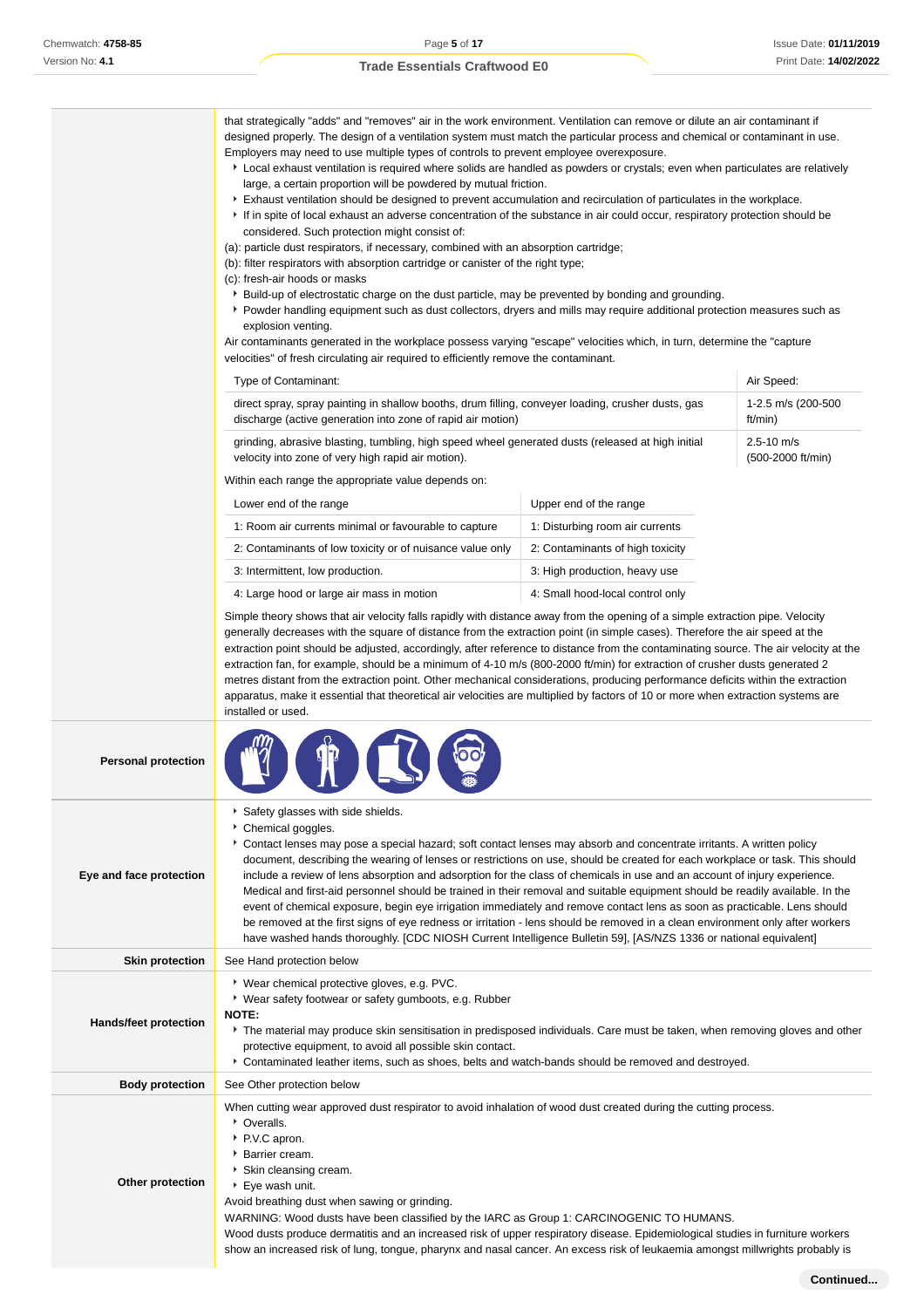|                              | that strategically "adds" and "removes" air in the work environment. Ventilation can remove or dilute an air contaminant if<br>designed properly. The design of a ventilation system must match the particular process and chemical or contaminant in use.<br>Employers may need to use multiple types of controls to prevent employee overexposure.<br>▶ Local exhaust ventilation is required where solids are handled as powders or crystals; even when particulates are relatively<br>large, a certain proportion will be powdered by mutual friction.<br>Exhaust ventilation should be designed to prevent accumulation and recirculation of particulates in the workplace.<br>If in spite of local exhaust an adverse concentration of the substance in air could occur, respiratory protection should be<br>considered. Such protection might consist of:<br>(a): particle dust respirators, if necessary, combined with an absorption cartridge;<br>(b): filter respirators with absorption cartridge or canister of the right type;<br>(c): fresh-air hoods or masks<br>▶ Build-up of electrostatic charge on the dust particle, may be prevented by bonding and grounding.<br>▶ Powder handling equipment such as dust collectors, dryers and mills may require additional protection measures such as<br>explosion venting.<br>Air contaminants generated in the workplace possess varying "escape" velocities which, in turn, determine the "capture"<br>velocities" of fresh circulating air required to efficiently remove the contaminant. |                                  |                                     |  |
|------------------------------|-----------------------------------------------------------------------------------------------------------------------------------------------------------------------------------------------------------------------------------------------------------------------------------------------------------------------------------------------------------------------------------------------------------------------------------------------------------------------------------------------------------------------------------------------------------------------------------------------------------------------------------------------------------------------------------------------------------------------------------------------------------------------------------------------------------------------------------------------------------------------------------------------------------------------------------------------------------------------------------------------------------------------------------------------------------------------------------------------------------------------------------------------------------------------------------------------------------------------------------------------------------------------------------------------------------------------------------------------------------------------------------------------------------------------------------------------------------------------------------------------------------------------------------------------------------|----------------------------------|-------------------------------------|--|
|                              | Type of Contaminant:                                                                                                                                                                                                                                                                                                                                                                                                                                                                                                                                                                                                                                                                                                                                                                                                                                                                                                                                                                                                                                                                                                                                                                                                                                                                                                                                                                                                                                                                                                                                      |                                  | Air Speed:                          |  |
|                              | direct spray, spray painting in shallow booths, drum filling, conveyer loading, crusher dusts, gas<br>discharge (active generation into zone of rapid air motion)                                                                                                                                                                                                                                                                                                                                                                                                                                                                                                                                                                                                                                                                                                                                                                                                                                                                                                                                                                                                                                                                                                                                                                                                                                                                                                                                                                                         |                                  | 1-2.5 m/s (200-500<br>ft/min)       |  |
|                              | grinding, abrasive blasting, tumbling, high speed wheel generated dusts (released at high initial<br>velocity into zone of very high rapid air motion).                                                                                                                                                                                                                                                                                                                                                                                                                                                                                                                                                                                                                                                                                                                                                                                                                                                                                                                                                                                                                                                                                                                                                                                                                                                                                                                                                                                                   |                                  | $2.5 - 10$ m/s<br>(500-2000 ft/min) |  |
|                              | Within each range the appropriate value depends on:                                                                                                                                                                                                                                                                                                                                                                                                                                                                                                                                                                                                                                                                                                                                                                                                                                                                                                                                                                                                                                                                                                                                                                                                                                                                                                                                                                                                                                                                                                       |                                  |                                     |  |
|                              | Lower end of the range                                                                                                                                                                                                                                                                                                                                                                                                                                                                                                                                                                                                                                                                                                                                                                                                                                                                                                                                                                                                                                                                                                                                                                                                                                                                                                                                                                                                                                                                                                                                    | Upper end of the range           |                                     |  |
|                              | 1: Room air currents minimal or favourable to capture                                                                                                                                                                                                                                                                                                                                                                                                                                                                                                                                                                                                                                                                                                                                                                                                                                                                                                                                                                                                                                                                                                                                                                                                                                                                                                                                                                                                                                                                                                     | 1: Disturbing room air currents  |                                     |  |
|                              | 2: Contaminants of low toxicity or of nuisance value only                                                                                                                                                                                                                                                                                                                                                                                                                                                                                                                                                                                                                                                                                                                                                                                                                                                                                                                                                                                                                                                                                                                                                                                                                                                                                                                                                                                                                                                                                                 | 2: Contaminants of high toxicity |                                     |  |
|                              | 3: Intermittent, low production.                                                                                                                                                                                                                                                                                                                                                                                                                                                                                                                                                                                                                                                                                                                                                                                                                                                                                                                                                                                                                                                                                                                                                                                                                                                                                                                                                                                                                                                                                                                          | 3: High production, heavy use    |                                     |  |
|                              | 4: Large hood or large air mass in motion                                                                                                                                                                                                                                                                                                                                                                                                                                                                                                                                                                                                                                                                                                                                                                                                                                                                                                                                                                                                                                                                                                                                                                                                                                                                                                                                                                                                                                                                                                                 | 4: Small hood-local control only |                                     |  |
|                              | generally decreases with the square of distance from the extraction point (in simple cases). Therefore the air speed at the<br>extraction point should be adjusted, accordingly, after reference to distance from the contaminating source. The air velocity at the<br>extraction fan, for example, should be a minimum of 4-10 m/s (800-2000 ft/min) for extraction of crusher dusts generated 2<br>metres distant from the extraction point. Other mechanical considerations, producing performance deficits within the extraction<br>apparatus, make it essential that theoretical air velocities are multiplied by factors of 10 or more when extraction systems are<br>installed or used.                                                                                                                                                                                                                                                                                                                                                                                                                                                                                                                                                                                                                                                                                                                                                                                                                                                            |                                  |                                     |  |
| <b>Personal protection</b>   |                                                                                                                                                                                                                                                                                                                                                                                                                                                                                                                                                                                                                                                                                                                                                                                                                                                                                                                                                                                                                                                                                                                                                                                                                                                                                                                                                                                                                                                                                                                                                           |                                  |                                     |  |
| Eye and face protection      | Safety glasses with side shields.<br>▶ Chemical goggles.<br>Contact lenses may pose a special hazard; soft contact lenses may absorb and concentrate irritants. A written policy<br>document, describing the wearing of lenses or restrictions on use, should be created for each workplace or task. This should<br>include a review of lens absorption and adsorption for the class of chemicals in use and an account of injury experience.<br>Medical and first-aid personnel should be trained in their removal and suitable equipment should be readily available. In the<br>event of chemical exposure, begin eye irrigation immediately and remove contact lens as soon as practicable. Lens should<br>be removed at the first signs of eye redness or irritation - lens should be removed in a clean environment only after workers<br>have washed hands thoroughly. [CDC NIOSH Current Intelligence Bulletin 59], [AS/NZS 1336 or national equivalent]                                                                                                                                                                                                                                                                                                                                                                                                                                                                                                                                                                                           |                                  |                                     |  |
| <b>Skin protection</b>       | See Hand protection below                                                                                                                                                                                                                                                                                                                                                                                                                                                                                                                                                                                                                                                                                                                                                                                                                                                                                                                                                                                                                                                                                                                                                                                                                                                                                                                                                                                                                                                                                                                                 |                                  |                                     |  |
| <b>Hands/feet protection</b> | ▸ Wear chemical protective gloves, e.g. PVC.<br>▶ Wear safety footwear or safety gumboots, e.g. Rubber<br>NOTE:<br>The material may produce skin sensitisation in predisposed individuals. Care must be taken, when removing gloves and other<br>protective equipment, to avoid all possible skin contact.<br>Contaminated leather items, such as shoes, belts and watch-bands should be removed and destroyed.                                                                                                                                                                                                                                                                                                                                                                                                                                                                                                                                                                                                                                                                                                                                                                                                                                                                                                                                                                                                                                                                                                                                           |                                  |                                     |  |
| <b>Body protection</b>       | See Other protection below                                                                                                                                                                                                                                                                                                                                                                                                                                                                                                                                                                                                                                                                                                                                                                                                                                                                                                                                                                                                                                                                                                                                                                                                                                                                                                                                                                                                                                                                                                                                |                                  |                                     |  |
| Other protection             | When cutting wear approved dust respirator to avoid inhalation of wood dust created during the cutting process.<br>• Overalls.<br>▶ P.V.C apron.<br>▶ Barrier cream.<br>▶ Skin cleansing cream.<br>▶ Eye wash unit.<br>Avoid breathing dust when sawing or grinding.<br>WARNING: Wood dusts have been classified by the IARC as Group 1: CARCINOGENIC TO HUMANS.<br>Wood dusts produce dermatitis and an increased risk of upper respiratory disease. Epidemiological studies in furniture workers                                                                                                                                                                                                                                                                                                                                                                                                                                                                                                                                                                                                                                                                                                                                                                                                                                                                                                                                                                                                                                                        |                                  |                                     |  |

show an increased risk of lung, tongue, pharynx and nasal cancer. An excess risk of leukaemia amongst millwrights probably is

**Continued...**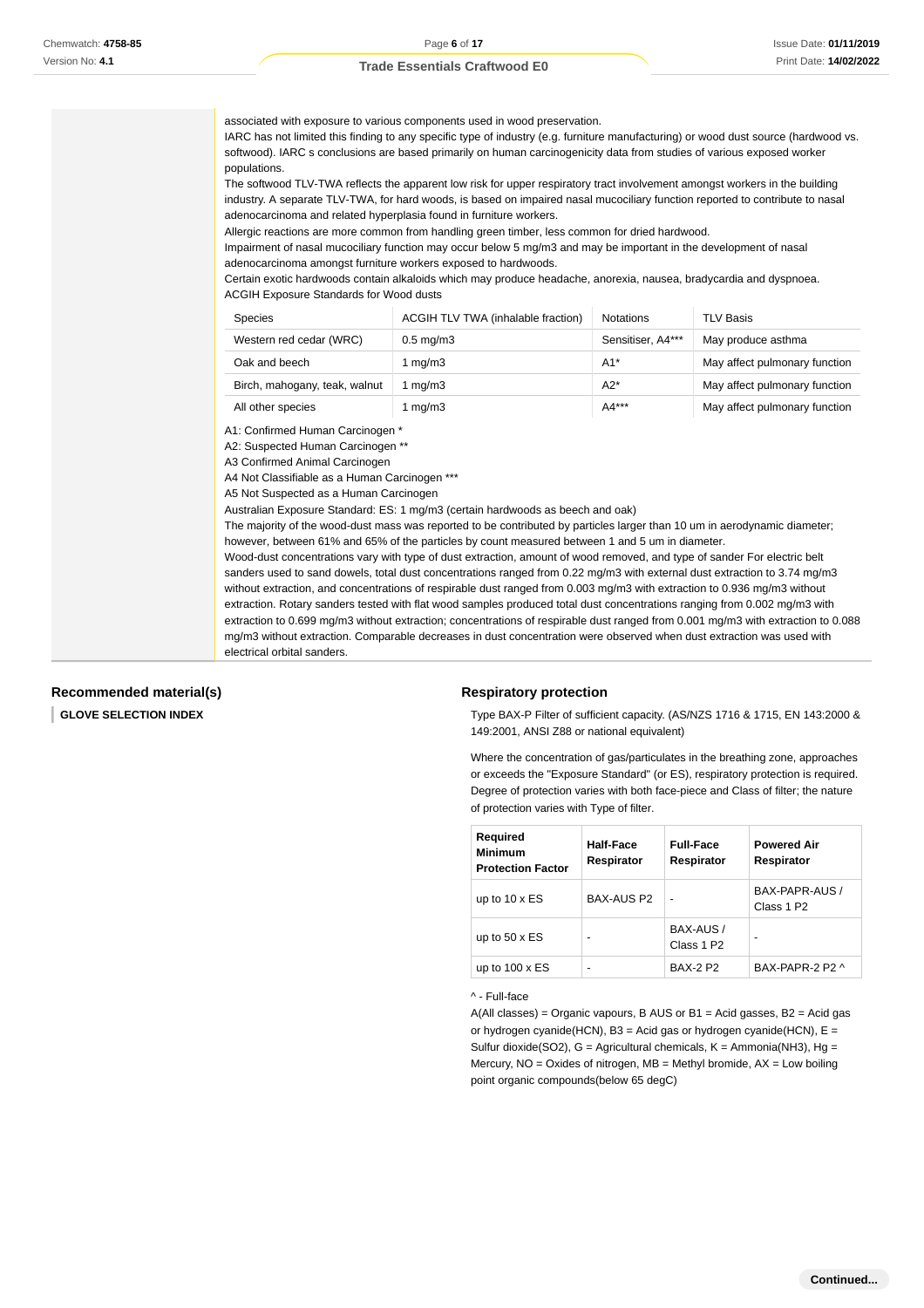| associated with exposure to various components used in wood preservation.<br>IARC has not limited this finding to any specific type of industry (e.g. furniture manufacturing) or wood dust source (hardwood vs.<br>softwood). IARC s conclusions are based primarily on human carcinogenicity data from studies of various exposed worker<br>populations.<br>The softwood TLV-TWA reflects the apparent low risk for upper respiratory tract involvement amongst workers in the building<br>industry. A separate TLV-TWA, for hard woods, is based on impaired nasal mucociliary function reported to contribute to nasal<br>adenocarcinoma and related hyperplasia found in furniture workers.<br>Allergic reactions are more common from handling green timber, less common for dried hardwood.<br>Impairment of nasal mucociliary function may occur below 5 mg/m3 and may be important in the development of nasal<br>adenocarcinoma amongst furniture workers exposed to hardwoods.<br>Certain exotic hardwoods contain alkaloids which may produce headache, anorexia, nausea, bradycardia and dyspnoea.<br><b>ACGIH Exposure Standards for Wood dusts</b>                                                                                                                                   |                                    |                   |                               |  |
|-----------------------------------------------------------------------------------------------------------------------------------------------------------------------------------------------------------------------------------------------------------------------------------------------------------------------------------------------------------------------------------------------------------------------------------------------------------------------------------------------------------------------------------------------------------------------------------------------------------------------------------------------------------------------------------------------------------------------------------------------------------------------------------------------------------------------------------------------------------------------------------------------------------------------------------------------------------------------------------------------------------------------------------------------------------------------------------------------------------------------------------------------------------------------------------------------------------------------------------------------------------------------------------------------------|------------------------------------|-------------------|-------------------------------|--|
| Species                                                                                                                                                                                                                                                                                                                                                                                                                                                                                                                                                                                                                                                                                                                                                                                                                                                                                                                                                                                                                                                                                                                                                                                                                                                                                             | ACGIH TLV TWA (inhalable fraction) | <b>Notations</b>  | <b>TLV Basis</b>              |  |
| Western red cedar (WRC)                                                                                                                                                                                                                                                                                                                                                                                                                                                                                                                                                                                                                                                                                                                                                                                                                                                                                                                                                                                                                                                                                                                                                                                                                                                                             | $0.5$ mg/m $3$                     | Sensitiser, A4*** | May produce asthma            |  |
| Oak and beech                                                                                                                                                                                                                                                                                                                                                                                                                                                                                                                                                                                                                                                                                                                                                                                                                                                                                                                                                                                                                                                                                                                                                                                                                                                                                       | 1 $mg/m3$                          | $A1*$             | May affect pulmonary function |  |
| Birch, mahogany, teak, walnut                                                                                                                                                                                                                                                                                                                                                                                                                                                                                                                                                                                                                                                                                                                                                                                                                                                                                                                                                                                                                                                                                                                                                                                                                                                                       | 1 $mg/m3$                          | $A2*$             | May affect pulmonary function |  |
| All other species                                                                                                                                                                                                                                                                                                                                                                                                                                                                                                                                                                                                                                                                                                                                                                                                                                                                                                                                                                                                                                                                                                                                                                                                                                                                                   | 1 $mg/m3$                          | A4***             | May affect pulmonary function |  |
| A1: Confirmed Human Carcinogen *<br>A2: Suspected Human Carcinogen **<br>A3 Confirmed Animal Carcinogen<br>A4 Not Classifiable as a Human Carcinogen ***<br>A5 Not Suspected as a Human Carcinogen<br>Australian Exposure Standard: ES: 1 mg/m3 (certain hardwoods as beech and oak)<br>The majority of the wood-dust mass was reported to be contributed by particles larger than 10 um in aerodynamic diameter;<br>however, between 61% and 65% of the particles by count measured between 1 and 5 um in diameter.<br>Wood-dust concentrations vary with type of dust extraction, amount of wood removed, and type of sander For electric belt<br>sanders used to sand dowels, total dust concentrations ranged from 0.22 mg/m3 with external dust extraction to 3.74 mg/m3<br>without extraction, and concentrations of respirable dust ranged from 0.003 mg/m3 with extraction to 0.936 mg/m3 without<br>extraction. Rotary sanders tested with flat wood samples produced total dust concentrations ranging from 0.002 mg/m3 with<br>extraction to 0.699 mg/m3 without extraction; concentrations of respirable dust ranged from 0.001 mg/m3 with extraction to 0.088<br>mg/m3 without extraction. Comparable decreases in dust concentration were observed when dust extraction was used with |                                    |                   |                               |  |

**Recommended material(s)**

electrical orbital sanders.

I **GLOVE SELECTION INDEX**

#### **Respiratory protection**

Type BAX-P Filter of sufficient capacity. (AS/NZS 1716 & 1715, EN 143:2000 & 149:2001, ANSI Z88 or national equivalent)

Where the concentration of gas/particulates in the breathing zone, approaches or exceeds the "Exposure Standard" (or ES), respiratory protection is required. Degree of protection varies with both face-piece and Class of filter; the nature of protection varies with Type of filter.

| <b>Required</b><br><b>Minimum</b><br><b>Protection Factor</b> | Half-Face<br>Respirator | <b>Full-Face</b><br>Respirator      | <b>Powered Air</b><br>Respirator |
|---------------------------------------------------------------|-------------------------|-------------------------------------|----------------------------------|
| up to $10 \times ES$                                          | BAX-AUS P2              | -                                   | BAX-PAPR-AUS /<br>Class 1 P2     |
| up to $50 \times ES$                                          | -                       | BAX-AUS /<br>Class 1 P <sub>2</sub> | -                                |
| up to $100 \times ES$                                         | -                       | <b>BAX-2 P2</b>                     | BAX-PAPR-2 P2 ^                  |

^ - Full-face

 $A(All classes) = Organic vapours, B AUS or B1 = Acid gases, B2 = Acid gas$ or hydrogen cyanide(HCN), B3 = Acid gas or hydrogen cyanide(HCN),  $E =$ Sulfur dioxide(SO2),  $G =$  Agricultural chemicals,  $K =$  Ammonia(NH3), Hg = Mercury,  $NO = Oxides$  of nitrogen,  $MB = Methyl$  bromide,  $AX = Low$  boiling point organic compounds(below 65 degC)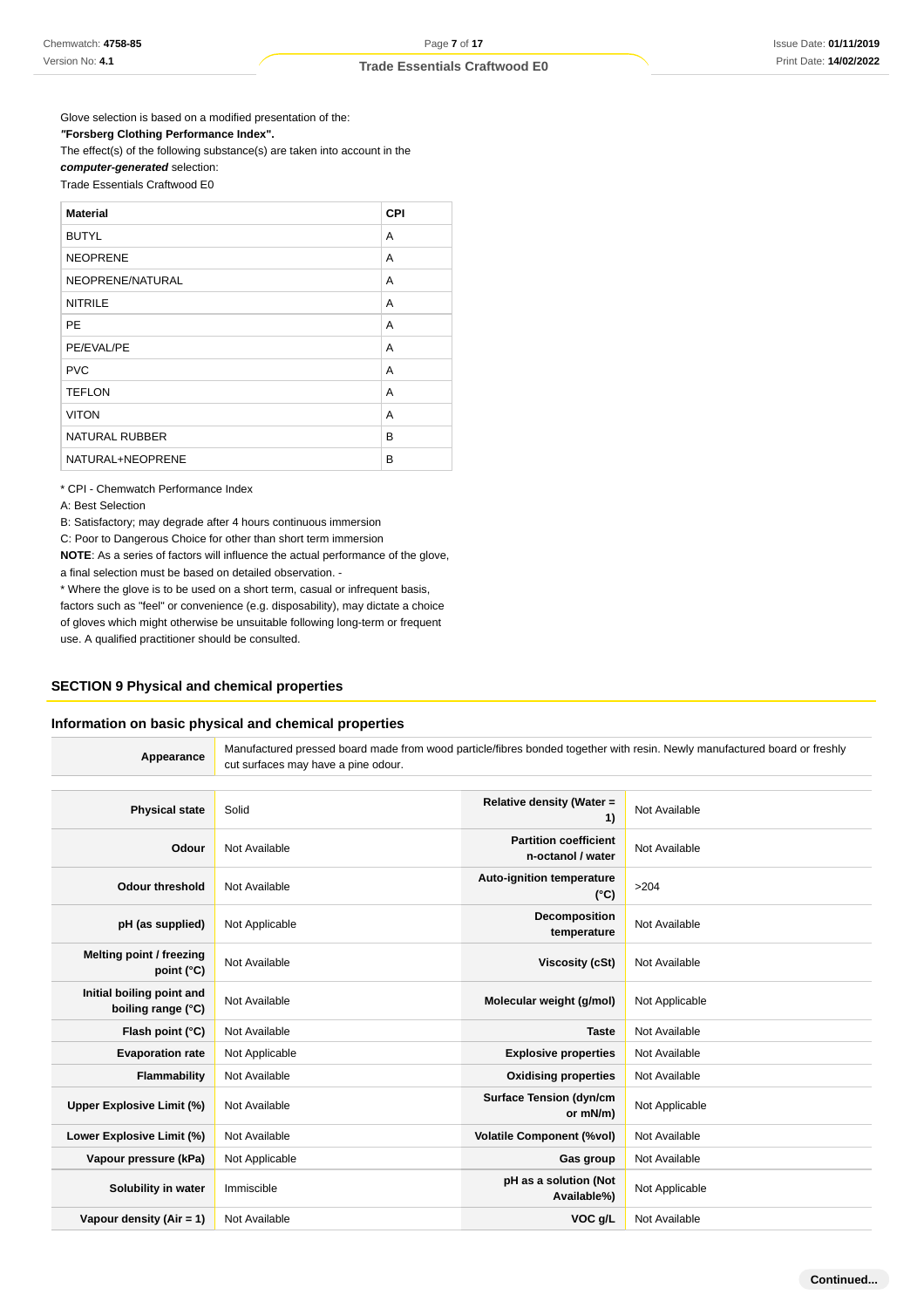Glove selection is based on a modified presentation of the: **"Forsberg Clothing Performance Index".** The effect(s) of the following substance(s) are taken into account in the

#### **computer-generated** selection: Trade Essentials Craftwood E0

| <b>Material</b>       | CPI |
|-----------------------|-----|
| <b>BUTYL</b>          | A   |
| <b>NEOPRENE</b>       | A   |
| NEOPRENE/NATURAL      | A   |
| <b>NITRILE</b>        | A   |
| <b>PE</b>             | A   |
| PE/EVAL/PE            | A   |
| <b>PVC</b>            | A   |
| <b>TEFLON</b>         | A   |
| <b>VITON</b>          | A   |
| <b>NATURAL RUBBER</b> | B   |
| NATURAL+NEOPRENE      | B   |

\* CPI - Chemwatch Performance Index

A: Best Selection

B: Satisfactory; may degrade after 4 hours continuous immersion

C: Poor to Dangerous Choice for other than short term immersion

**NOTE**: As a series of factors will influence the actual performance of the glove, a final selection must be based on detailed observation. -

\* Where the glove is to be used on a short term, casual or infrequent basis,

factors such as "feel" or convenience (e.g. disposability), may dictate a choice of gloves which might otherwise be unsuitable following long-term or frequent use. A qualified practitioner should be consulted.

## **SECTION 9 Physical and chemical properties**

### **Information on basic physical and chemical properties**

| Appearance                                      | Manufactured pressed board made from wood particle/fibres bonded together with resin. Newly manufactured board or freshly<br>cut surfaces may have a pine odour. |                                                   |                |
|-------------------------------------------------|------------------------------------------------------------------------------------------------------------------------------------------------------------------|---------------------------------------------------|----------------|
|                                                 |                                                                                                                                                                  |                                                   |                |
| <b>Physical state</b>                           | Solid                                                                                                                                                            | <b>Relative density (Water =</b><br>1)            | Not Available  |
| Odour                                           | Not Available                                                                                                                                                    | <b>Partition coefficient</b><br>n-octanol / water | Not Available  |
| <b>Odour threshold</b>                          | Not Available                                                                                                                                                    | Auto-ignition temperature<br>$(^{\circ}C)$        | >204           |
| pH (as supplied)                                | Not Applicable                                                                                                                                                   | Decomposition<br>temperature                      | Not Available  |
| Melting point / freezing<br>point (°C)          | Not Available                                                                                                                                                    | <b>Viscosity (cSt)</b>                            | Not Available  |
| Initial boiling point and<br>boiling range (°C) | Not Available                                                                                                                                                    | Molecular weight (g/mol)                          | Not Applicable |
| Flash point (°C)                                | Not Available                                                                                                                                                    | <b>Taste</b>                                      | Not Available  |
| <b>Evaporation rate</b>                         | Not Applicable                                                                                                                                                   | <b>Explosive properties</b>                       | Not Available  |
| <b>Flammability</b>                             | Not Available                                                                                                                                                    | <b>Oxidising properties</b>                       | Not Available  |
| Upper Explosive Limit (%)                       | Not Available                                                                                                                                                    | <b>Surface Tension (dyn/cm</b><br>or mN/m)        | Not Applicable |
| Lower Explosive Limit (%)                       | Not Available                                                                                                                                                    | <b>Volatile Component (%vol)</b>                  | Not Available  |
| Vapour pressure (kPa)                           | Not Applicable                                                                                                                                                   | Gas group                                         | Not Available  |
| Solubility in water                             | Immiscible                                                                                                                                                       | pH as a solution (Not<br>Available%)              | Not Applicable |
| Vapour density $(Air = 1)$                      | Not Available                                                                                                                                                    | VOC g/L                                           | Not Available  |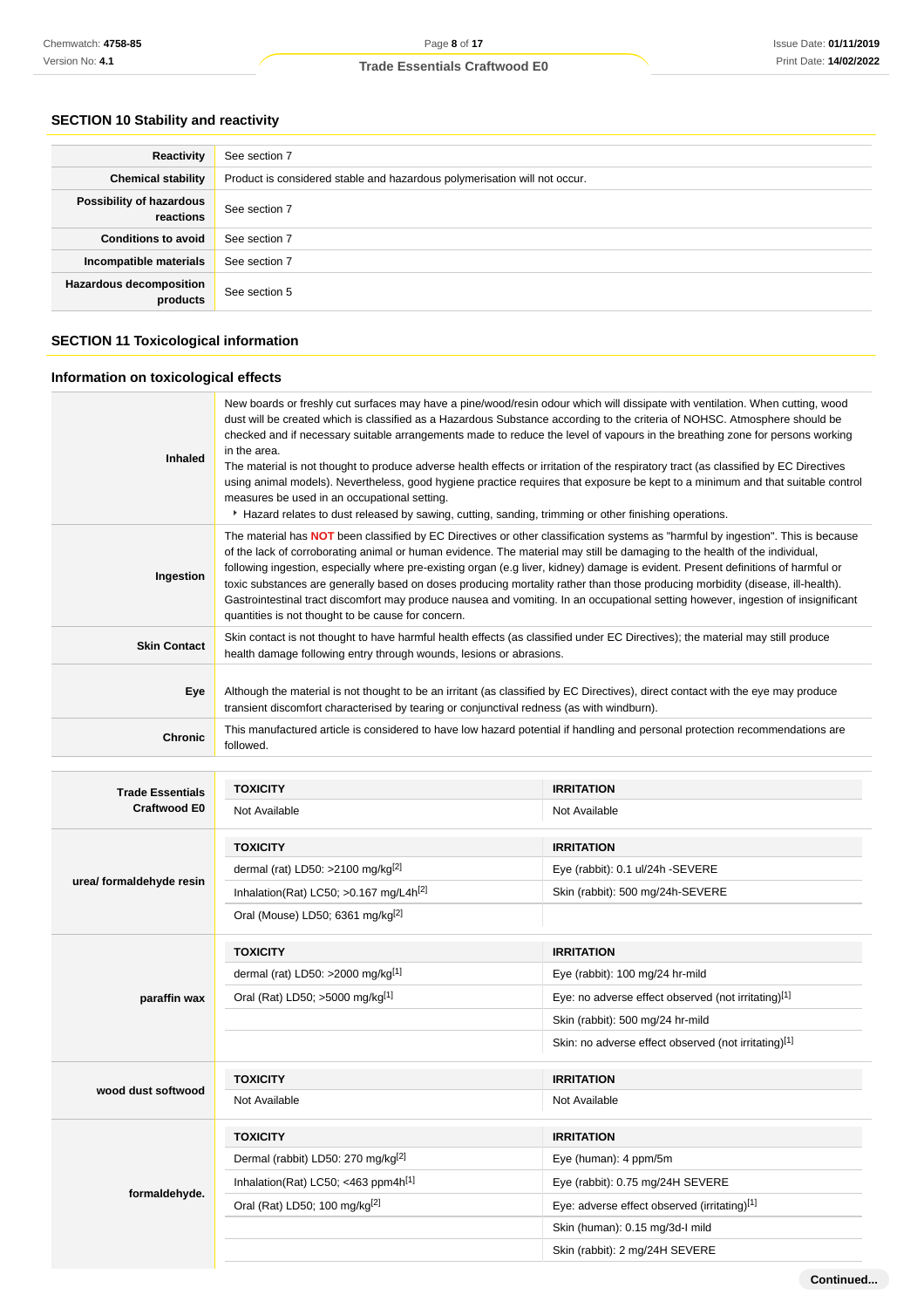## **SECTION 10 Stability and reactivity**

| Reactivity                                 | See section 7                                                             |
|--------------------------------------------|---------------------------------------------------------------------------|
| <b>Chemical stability</b>                  | Product is considered stable and hazardous polymerisation will not occur. |
| Possibility of hazardous<br>reactions      | See section 7                                                             |
| <b>Conditions to avoid</b>                 | See section 7                                                             |
| Incompatible materials                     | See section 7                                                             |
| <b>Hazardous decomposition</b><br>products | See section 5                                                             |

## **SECTION 11 Toxicological information**

## **Information on toxicological effects**

| <b>Inhaled</b>      | New boards or freshly cut surfaces may have a pine/wood/resin odour which will dissipate with ventilation. When cutting, wood<br>dust will be created which is classified as a Hazardous Substance according to the criteria of NOHSC. Atmosphere should be<br>checked and if necessary suitable arrangements made to reduce the level of vapours in the breathing zone for persons working<br>in the area.<br>The material is not thought to produce adverse health effects or irritation of the respiratory tract (as classified by EC Directives<br>using animal models). Nevertheless, good hygiene practice requires that exposure be kept to a minimum and that suitable control<br>measures be used in an occupational setting.<br>Hazard relates to dust released by sawing, cutting, sanding, trimming or other finishing operations. |
|---------------------|------------------------------------------------------------------------------------------------------------------------------------------------------------------------------------------------------------------------------------------------------------------------------------------------------------------------------------------------------------------------------------------------------------------------------------------------------------------------------------------------------------------------------------------------------------------------------------------------------------------------------------------------------------------------------------------------------------------------------------------------------------------------------------------------------------------------------------------------|
| Ingestion           | The material has <b>NOT</b> been classified by EC Directives or other classification systems as "harmful by ingestion". This is because<br>of the lack of corroborating animal or human evidence. The material may still be damaging to the health of the individual,<br>following ingestion, especially where pre-existing organ (e.g liver, kidney) damage is evident. Present definitions of harmful or<br>toxic substances are generally based on doses producing mortality rather than those producing morbidity (disease, ill-health).<br>Gastrointestinal tract discomfort may produce nausea and vomiting. In an occupational setting however, ingestion of insignificant<br>quantities is not thought to be cause for concern.                                                                                                        |
| <b>Skin Contact</b> | Skin contact is not thought to have harmful health effects (as classified under EC Directives); the material may still produce<br>health damage following entry through wounds, lesions or abrasions.                                                                                                                                                                                                                                                                                                                                                                                                                                                                                                                                                                                                                                          |
| <b>Eye</b>          | Although the material is not thought to be an irritant (as classified by EC Directives), direct contact with the eye may produce<br>transient discomfort characterised by tearing or conjunctival redness (as with windburn).                                                                                                                                                                                                                                                                                                                                                                                                                                                                                                                                                                                                                  |
| <b>Chronic</b>      | This manufactured article is considered to have low hazard potential if handling and personal protection recommendations are<br>followed.                                                                                                                                                                                                                                                                                                                                                                                                                                                                                                                                                                                                                                                                                                      |

| <b>Trade Essentials</b><br>Craftwood E0 | <b>TOXICITY</b>                                      | <b>IRRITATION</b>                                    |
|-----------------------------------------|------------------------------------------------------|------------------------------------------------------|
|                                         | Not Available                                        | Not Available                                        |
|                                         | <b>TOXICITY</b>                                      | <b>IRRITATION</b>                                    |
|                                         | dermal (rat) LD50: >2100 mg/kg $^{[2]}$              | Eye (rabbit): 0.1 ul/24h -SEVERE                     |
| urea/ formaldehyde resin                | Inhalation(Rat) LC50; $>0.167$ mg/L4h <sup>[2]</sup> | Skin (rabbit): 500 mg/24h-SEVERE                     |
|                                         | Oral (Mouse) LD50; 6361 mg/kg <sup>[2]</sup>         |                                                      |
|                                         | <b>TOXICITY</b>                                      | <b>IRRITATION</b>                                    |
|                                         | dermal (rat) LD50: $>2000$ mg/kg <sup>[1]</sup>      | Eye (rabbit): 100 mg/24 hr-mild                      |
| paraffin wax                            | Oral (Rat) LD50; >5000 mg/kg[1]                      | Eye: no adverse effect observed (not irritating)[1]  |
|                                         |                                                      | Skin (rabbit): 500 mg/24 hr-mild                     |
|                                         |                                                      | Skin: no adverse effect observed (not irritating)[1] |
| wood dust softwood                      | <b>TOXICITY</b>                                      | <b>IRRITATION</b>                                    |
|                                         | Not Available                                        | Not Available                                        |
|                                         | <b>TOXICITY</b>                                      | <b>IRRITATION</b>                                    |
|                                         | Dermal (rabbit) LD50: 270 mg/kg <sup>[2]</sup>       | Eye (human): 4 ppm/5m                                |
| formaldehyde.                           | Inhalation(Rat) LC50; <463 ppm4h <sup>[1]</sup>      | Eye (rabbit): 0.75 mg/24H SEVERE                     |
|                                         | Oral (Rat) LD50; 100 mg/kg[2]                        | Eye: adverse effect observed (irritating)[1]         |
|                                         |                                                      | Skin (human): 0.15 mg/3d-l mild                      |
|                                         |                                                      | Skin (rabbit): 2 mg/24H SEVERE                       |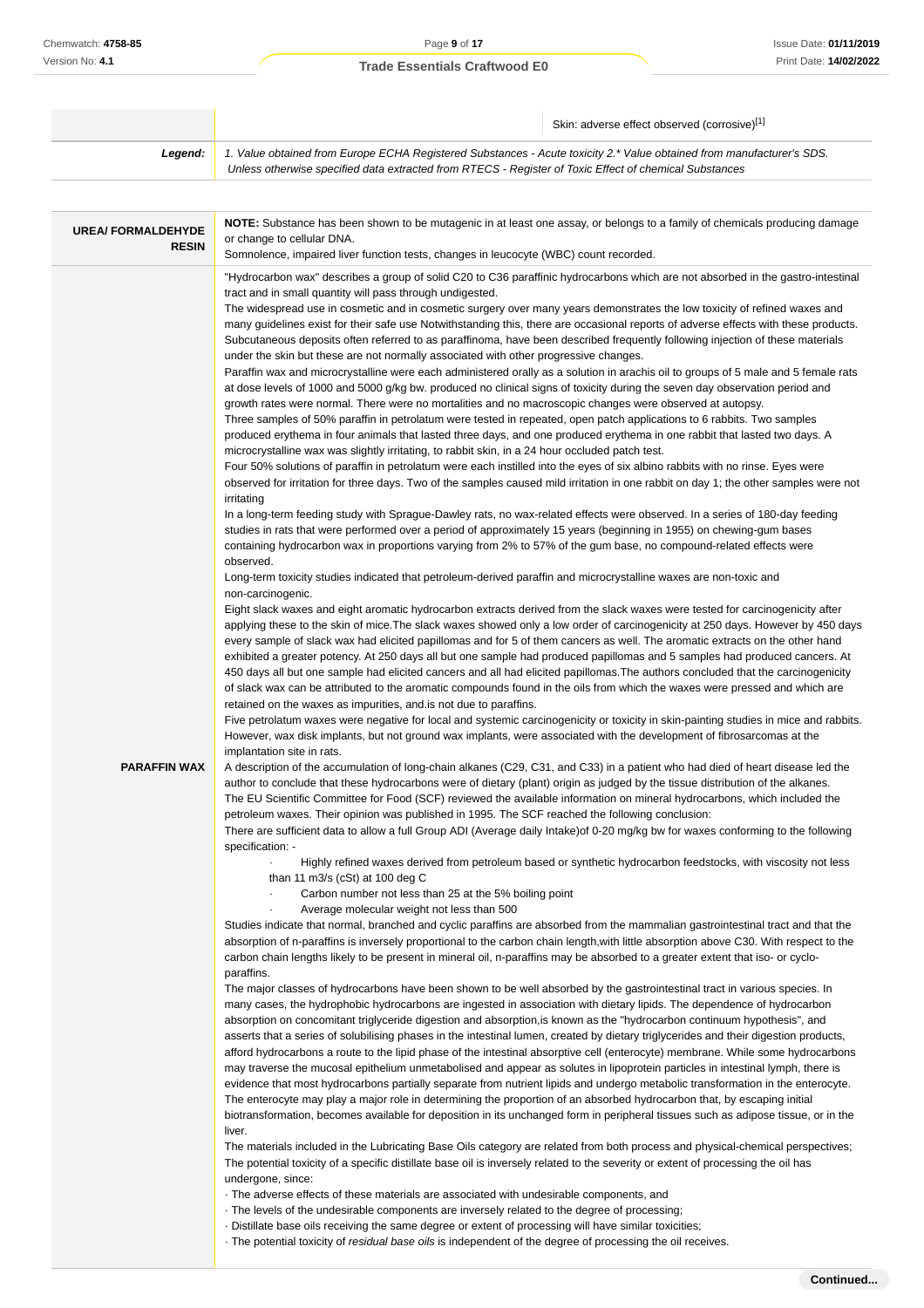|                                           |                                                                                                                                                                                                                                                                                                                                                                                                                                                                                                                                                                                                                                                                                                                                                                                                                                                                                                                                                                                                                                                                                                                                                                                                                                                                                                                                                                                                                                                                                                                                                                                                                                                                                                                                                                                                                                                                                                                                                                                                                                                                                                                                                                                                                                                                                                                                                                                                                                                                                                                                                                                                                                                                                                                                                                                                                                                                                                                                                                                                                                                                                                                                                                                                                                                                                                                                                                                                                                                                                                                                                                                                                                                                                                                                                                                                                                                                                                                                                                                                                                                                                                                                                                                                                                                                                                                                                                                                                                                                                                                                                                                                                                                                                                                                                                                                                                                                                                                                                                                                                                                                                                                                                                                                                                                                                                                                                                                                                                                                                                                                                                                                                                                                                                                                                                     | Skin: adverse effect observed (corrosive)[1]                                                                                                                                                                                                                                                                                                                                                                                                                                                                                                                                                                                                                                                                                                                                                                   |
|-------------------------------------------|---------------------------------------------------------------------------------------------------------------------------------------------------------------------------------------------------------------------------------------------------------------------------------------------------------------------------------------------------------------------------------------------------------------------------------------------------------------------------------------------------------------------------------------------------------------------------------------------------------------------------------------------------------------------------------------------------------------------------------------------------------------------------------------------------------------------------------------------------------------------------------------------------------------------------------------------------------------------------------------------------------------------------------------------------------------------------------------------------------------------------------------------------------------------------------------------------------------------------------------------------------------------------------------------------------------------------------------------------------------------------------------------------------------------------------------------------------------------------------------------------------------------------------------------------------------------------------------------------------------------------------------------------------------------------------------------------------------------------------------------------------------------------------------------------------------------------------------------------------------------------------------------------------------------------------------------------------------------------------------------------------------------------------------------------------------------------------------------------------------------------------------------------------------------------------------------------------------------------------------------------------------------------------------------------------------------------------------------------------------------------------------------------------------------------------------------------------------------------------------------------------------------------------------------------------------------------------------------------------------------------------------------------------------------------------------------------------------------------------------------------------------------------------------------------------------------------------------------------------------------------------------------------------------------------------------------------------------------------------------------------------------------------------------------------------------------------------------------------------------------------------------------------------------------------------------------------------------------------------------------------------------------------------------------------------------------------------------------------------------------------------------------------------------------------------------------------------------------------------------------------------------------------------------------------------------------------------------------------------------------------------------------------------------------------------------------------------------------------------------------------------------------------------------------------------------------------------------------------------------------------------------------------------------------------------------------------------------------------------------------------------------------------------------------------------------------------------------------------------------------------------------------------------------------------------------------------------------------------------------------------------------------------------------------------------------------------------------------------------------------------------------------------------------------------------------------------------------------------------------------------------------------------------------------------------------------------------------------------------------------------------------------------------------------------------------------------------------------------------------------------------------------------------------------------------------------------------------------------------------------------------------------------------------------------------------------------------------------------------------------------------------------------------------------------------------------------------------------------------------------------------------------------------------------------------------------------------------------------------------------------------------------------------------------------------------------------------------------------------------------------------------------------------------------------------------------------------------------------------------------------------------------------------------------------------------------------------------------------------------------------------------------------------------------------------------------------------------------------------------------------------------------|----------------------------------------------------------------------------------------------------------------------------------------------------------------------------------------------------------------------------------------------------------------------------------------------------------------------------------------------------------------------------------------------------------------------------------------------------------------------------------------------------------------------------------------------------------------------------------------------------------------------------------------------------------------------------------------------------------------------------------------------------------------------------------------------------------------|
| Legend:                                   | 1. Value obtained from Europe ECHA Registered Substances - Acute toxicity 2.* Value obtained from manufacturer's SDS.<br>Unless otherwise specified data extracted from RTECS - Register of Toxic Effect of chemical Substances                                                                                                                                                                                                                                                                                                                                                                                                                                                                                                                                                                                                                                                                                                                                                                                                                                                                                                                                                                                                                                                                                                                                                                                                                                                                                                                                                                                                                                                                                                                                                                                                                                                                                                                                                                                                                                                                                                                                                                                                                                                                                                                                                                                                                                                                                                                                                                                                                                                                                                                                                                                                                                                                                                                                                                                                                                                                                                                                                                                                                                                                                                                                                                                                                                                                                                                                                                                                                                                                                                                                                                                                                                                                                                                                                                                                                                                                                                                                                                                                                                                                                                                                                                                                                                                                                                                                                                                                                                                                                                                                                                                                                                                                                                                                                                                                                                                                                                                                                                                                                                                                                                                                                                                                                                                                                                                                                                                                                                                                                                                                     |                                                                                                                                                                                                                                                                                                                                                                                                                                                                                                                                                                                                                                                                                                                                                                                                                |
|                                           |                                                                                                                                                                                                                                                                                                                                                                                                                                                                                                                                                                                                                                                                                                                                                                                                                                                                                                                                                                                                                                                                                                                                                                                                                                                                                                                                                                                                                                                                                                                                                                                                                                                                                                                                                                                                                                                                                                                                                                                                                                                                                                                                                                                                                                                                                                                                                                                                                                                                                                                                                                                                                                                                                                                                                                                                                                                                                                                                                                                                                                                                                                                                                                                                                                                                                                                                                                                                                                                                                                                                                                                                                                                                                                                                                                                                                                                                                                                                                                                                                                                                                                                                                                                                                                                                                                                                                                                                                                                                                                                                                                                                                                                                                                                                                                                                                                                                                                                                                                                                                                                                                                                                                                                                                                                                                                                                                                                                                                                                                                                                                                                                                                                                                                                                                                     |                                                                                                                                                                                                                                                                                                                                                                                                                                                                                                                                                                                                                                                                                                                                                                                                                |
| <b>UREA/ FORMALDEHYDE</b><br><b>RESIN</b> | or change to cellular DNA.<br>Somnolence, impaired liver function tests, changes in leucocyte (WBC) count recorded.                                                                                                                                                                                                                                                                                                                                                                                                                                                                                                                                                                                                                                                                                                                                                                                                                                                                                                                                                                                                                                                                                                                                                                                                                                                                                                                                                                                                                                                                                                                                                                                                                                                                                                                                                                                                                                                                                                                                                                                                                                                                                                                                                                                                                                                                                                                                                                                                                                                                                                                                                                                                                                                                                                                                                                                                                                                                                                                                                                                                                                                                                                                                                                                                                                                                                                                                                                                                                                                                                                                                                                                                                                                                                                                                                                                                                                                                                                                                                                                                                                                                                                                                                                                                                                                                                                                                                                                                                                                                                                                                                                                                                                                                                                                                                                                                                                                                                                                                                                                                                                                                                                                                                                                                                                                                                                                                                                                                                                                                                                                                                                                                                                                 | NOTE: Substance has been shown to be mutagenic in at least one assay, or belongs to a family of chemicals producing damage                                                                                                                                                                                                                                                                                                                                                                                                                                                                                                                                                                                                                                                                                     |
|                                           |                                                                                                                                                                                                                                                                                                                                                                                                                                                                                                                                                                                                                                                                                                                                                                                                                                                                                                                                                                                                                                                                                                                                                                                                                                                                                                                                                                                                                                                                                                                                                                                                                                                                                                                                                                                                                                                                                                                                                                                                                                                                                                                                                                                                                                                                                                                                                                                                                                                                                                                                                                                                                                                                                                                                                                                                                                                                                                                                                                                                                                                                                                                                                                                                                                                                                                                                                                                                                                                                                                                                                                                                                                                                                                                                                                                                                                                                                                                                                                                                                                                                                                                                                                                                                                                                                                                                                                                                                                                                                                                                                                                                                                                                                                                                                                                                                                                                                                                                                                                                                                                                                                                                                                                                                                                                                                                                                                                                                                                                                                                                                                                                                                                                                                                                                                     | "Hydrocarbon wax" describes a group of solid C20 to C36 paraffinic hydrocarbons which are not absorbed in the gastro-intestinal                                                                                                                                                                                                                                                                                                                                                                                                                                                                                                                                                                                                                                                                                |
| <b>PARAFFIN WAX</b>                       | tract and in small quantity will pass through undigested.<br>The widespread use in cosmetic and in cosmetic surgery over many years demonstrates the low toxicity of refined waxes and<br>Subcutaneous deposits often referred to as paraffinoma, have been described frequently following injection of these materials<br>under the skin but these are not normally associated with other progressive changes.<br>at dose levels of 1000 and 5000 g/kg bw. produced no clinical signs of toxicity during the seven day observation period and<br>growth rates were normal. There were no mortalities and no macroscopic changes were observed at autopsy.<br>Three samples of 50% paraffin in petrolatum were tested in repeated, open patch applications to 6 rabbits. Two samples<br>produced erythema in four animals that lasted three days, and one produced erythema in one rabbit that lasted two days. A<br>microcrystalline wax was slightly irritating, to rabbit skin, in a 24 hour occluded patch test.<br>Four 50% solutions of paraffin in petrolatum were each instilled into the eyes of six albino rabbits with no rinse. Eyes were<br>irritating<br>In a long-term feeding study with Sprague-Dawley rats, no wax-related effects were observed. In a series of 180-day feeding<br>studies in rats that were performed over a period of approximately 15 years (beginning in 1955) on chewing-gum bases<br>containing hydrocarbon wax in proportions varying from 2% to 57% of the gum base, no compound-related effects were<br>observed.<br>Long-term toxicity studies indicated that petroleum-derived paraffin and microcrystalline waxes are non-toxic and<br>non-carcinogenic.<br>Eight slack waxes and eight aromatic hydrocarbon extracts derived from the slack waxes were tested for carcinogenicity after<br>every sample of slack wax had elicited papillomas and for 5 of them cancers as well. The aromatic extracts on the other hand<br>exhibited a greater potency. At 250 days all but one sample had produced papillomas and 5 samples had produced cancers. At<br>450 days all but one sample had elicited cancers and all had elicited papillomas. The authors concluded that the carcinogenicity<br>of slack wax can be attributed to the aromatic compounds found in the oils from which the waxes were pressed and which are<br>retained on the waxes as impurities, and is not due to paraffins.<br>However, wax disk implants, but not ground wax implants, were associated with the development of fibrosarcomas at the<br>implantation site in rats.<br>A description of the accumulation of long-chain alkanes (C29, C31, and C33) in a patient who had died of heart disease led the<br>author to conclude that these hydrocarbons were of dietary (plant) origin as judged by the tissue distribution of the alkanes.<br>The EU Scientific Committee for Food (SCF) reviewed the available information on mineral hydrocarbons, which included the<br>petroleum waxes. Their opinion was published in 1995. The SCF reached the following conclusion:<br>There are sufficient data to allow a full Group ADI (Average daily Intake) of 0-20 mg/kg bw for waxes conforming to the following<br>specification: -<br>than 11 m3/s (cSt) at 100 deg C<br>Carbon number not less than 25 at the 5% boiling point<br>Average molecular weight not less than 500<br>Studies indicate that normal, branched and cyclic paraffins are absorbed from the mammalian gastrointestinal tract and that the<br>absorption of n-paraffins is inversely proportional to the carbon chain length, with little absorption above C30. With respect to the<br>carbon chain lengths likely to be present in mineral oil, n-paraffins may be absorbed to a greater extent that iso- or cyclo-<br>paraffins.<br>The major classes of hydrocarbons have been shown to be well absorbed by the gastrointestinal tract in various species. In<br>many cases, the hydrophobic hydrocarbons are ingested in association with dietary lipids. The dependence of hydrocarbon<br>absorption on concomitant triglyceride digestion and absorption, is known as the "hydrocarbon continuum hypothesis", and<br>asserts that a series of solubilising phases in the intestinal lumen, created by dietary triglycerides and their digestion products,<br>afford hydrocarbons a route to the lipid phase of the intestinal absorptive cell (enterocyte) membrane. While some hydrocarbons<br>may traverse the mucosal epithelium unmetabolised and appear as solutes in lipoprotein particles in intestinal lymph, there is<br>evidence that most hydrocarbons partially separate from nutrient lipids and undergo metabolic transformation in the enterocyte.<br>The enterocyte may play a major role in determining the proportion of an absorbed hydrocarbon that, by escaping initial<br>biotransformation, becomes available for deposition in its unchanged form in peripheral tissues such as adipose tissue, or in the<br>liver.<br>The materials included in the Lubricating Base Oils category are related from both process and physical-chemical perspectives;<br>The potential toxicity of a specific distillate base oil is inversely related to the severity or extent of processing the oil has<br>undergone, since:<br>The adverse effects of these materials are associated with undesirable components, and<br>· The levels of the undesirable components are inversely related to the degree of processing;<br>. Distillate base oils receiving the same degree or extent of processing will have similar toxicities;<br>The potential toxicity of residual base oils is independent of the degree of processing the oil receives. | many guidelines exist for their safe use Notwithstanding this, there are occasional reports of adverse effects with these products.<br>Paraffin wax and microcrystalline were each administered orally as a solution in arachis oil to groups of 5 male and 5 female rats<br>observed for irritation for three days. Two of the samples caused mild irritation in one rabbit on day 1; the other samples were not<br>applying these to the skin of mice. The slack waxes showed only a low order of carcinogenicity at 250 days. However by 450 days<br>Five petrolatum waxes were negative for local and systemic carcinogenicity or toxicity in skin-painting studies in mice and rabbits.<br>Highly refined waxes derived from petroleum based or synthetic hydrocarbon feedstocks, with viscosity not less |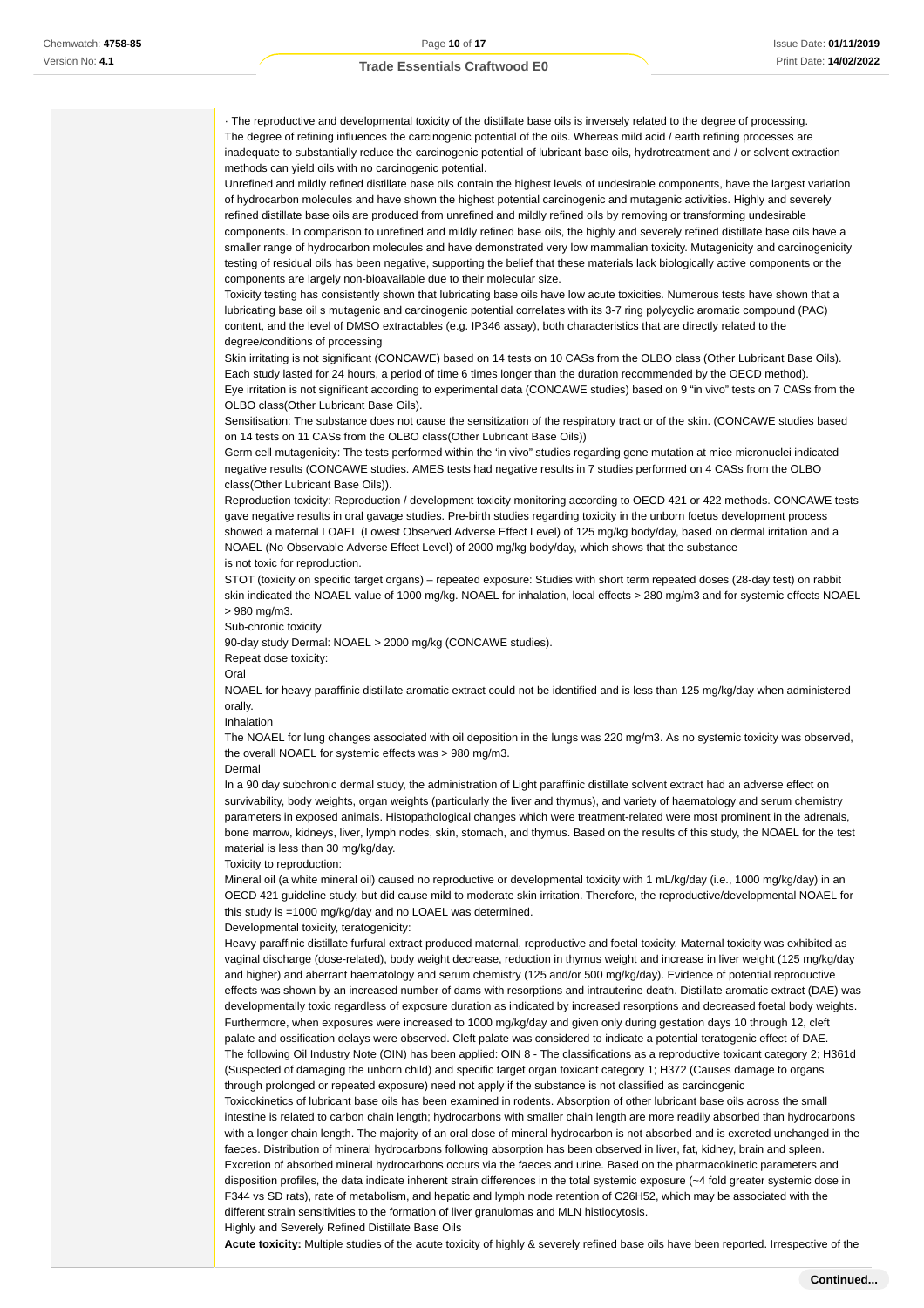· The reproductive and developmental toxicity of the distillate base oils is inversely related to the degree of processing. The degree of refining influences the carcinogenic potential of the oils. Whereas mild acid / earth refining processes are inadequate to substantially reduce the carcinogenic potential of lubricant base oils, hydrotreatment and / or solvent extraction methods can yield oils with no carcinogenic potential.

Unrefined and mildly refined distillate base oils contain the highest levels of undesirable components, have the largest variation of hydrocarbon molecules and have shown the highest potential carcinogenic and mutagenic activities. Highly and severely refined distillate base oils are produced from unrefined and mildly refined oils by removing or transforming undesirable components. In comparison to unrefined and mildly refined base oils, the highly and severely refined distillate base oils have a smaller range of hydrocarbon molecules and have demonstrated very low mammalian toxicity. Mutagenicity and carcinogenicity testing of residual oils has been negative, supporting the belief that these materials lack biologically active components or the

components are largely non-bioavailable due to their molecular size. Toxicity testing has consistently shown that lubricating base oils have low acute toxicities. Numerous tests have shown that a

lubricating base oil s mutagenic and carcinogenic potential correlates with its 3-7 ring polycyclic aromatic compound (PAC) content, and the level of DMSO extractables (e.g. IP346 assay), both characteristics that are directly related to the degree/conditions of processing

Skin irritating is not significant (CONCAWE) based on 14 tests on 10 CASs from the OLBO class (Other Lubricant Base Oils). Each study lasted for 24 hours, a period of time 6 times longer than the duration recommended by the OECD method). Eye irritation is not significant according to experimental data (CONCAWE studies) based on 9 "in vivo" tests on 7 CASs from the

OLBO class(Other Lubricant Base Oils).

Sensitisation: The substance does not cause the sensitization of the respiratory tract or of the skin. (CONCAWE studies based on 14 tests on 11 CASs from the OLBO class(Other Lubricant Base Oils))

Germ cell mutagenicity: The tests performed within the 'in vivo" studies regarding gene mutation at mice micronuclei indicated negative results (CONCAWE studies. AMES tests had negative results in 7 studies performed on 4 CASs from the OLBO class(Other Lubricant Base Oils)).

Reproduction toxicity: Reproduction / development toxicity monitoring according to OECD 421 or 422 methods. CONCAWE tests gave negative results in oral gavage studies. Pre-birth studies regarding toxicity in the unborn foetus development process showed a maternal LOAEL (Lowest Observed Adverse Effect Level) of 125 mg/kg body/day, based on dermal irritation and a NOAEL (No Observable Adverse Effect Level) of 2000 mg/kg body/day, which shows that the substance is not toxic for reproduction.

STOT (toxicity on specific target organs) – repeated exposure: Studies with short term repeated doses (28-day test) on rabbit skin indicated the NOAEL value of 1000 mg/kg. NOAEL for inhalation, local effects > 280 mg/m3 and for systemic effects NOAEL > 980 mg/m3.

Sub-chronic toxicity

90-day study Dermal: NOAEL > 2000 mg/kg (CONCAWE studies).

Repeat dose toxicity:

Oral

NOAEL for heavy paraffinic distillate aromatic extract could not be identified and is less than 125 mg/kg/day when administered orally.

Inhalation

The NOAEL for lung changes associated with oil deposition in the lungs was 220 mg/m3. As no systemic toxicity was observed, the overall NOAEL for systemic effects was > 980 mg/m3.

Dermal

In a 90 day subchronic dermal study, the administration of Light paraffinic distillate solvent extract had an adverse effect on survivability, body weights, organ weights (particularly the liver and thymus), and variety of haematology and serum chemistry parameters in exposed animals. Histopathological changes which were treatment-related were most prominent in the adrenals, bone marrow, kidneys, liver, lymph nodes, skin, stomach, and thymus. Based on the results of this study, the NOAEL for the test material is less than 30 mg/kg/day.

Toxicity to reproduction:

Mineral oil (a white mineral oil) caused no reproductive or developmental toxicity with 1 mL/kg/day (i.e., 1000 mg/kg/day) in an OECD 421 guideline study, but did cause mild to moderate skin irritation. Therefore, the reproductive/developmental NOAEL for this study is =1000 mg/kg/day and no LOAEL was determined.

Developmental toxicity, teratogenicity:

Heavy paraffinic distillate furfural extract produced maternal, reproductive and foetal toxicity. Maternal toxicity was exhibited as vaginal discharge (dose-related), body weight decrease, reduction in thymus weight and increase in liver weight (125 mg/kg/day and higher) and aberrant haematology and serum chemistry (125 and/or 500 mg/kg/day). Evidence of potential reproductive effects was shown by an increased number of dams with resorptions and intrauterine death. Distillate aromatic extract (DAE) was developmentally toxic regardless of exposure duration as indicated by increased resorptions and decreased foetal body weights. Furthermore, when exposures were increased to 1000 mg/kg/day and given only during gestation days 10 through 12, cleft palate and ossification delays were observed. Cleft palate was considered to indicate a potential teratogenic effect of DAE. The following Oil Industry Note (OIN) has been applied: OIN 8 - The classifications as a reproductive toxicant category 2; H361d (Suspected of damaging the unborn child) and specific target organ toxicant category 1; H372 (Causes damage to organs through prolonged or repeated exposure) need not apply if the substance is not classified as carcinogenic Toxicokinetics of lubricant base oils has been examined in rodents. Absorption of other lubricant base oils across the small

intestine is related to carbon chain length; hydrocarbons with smaller chain length are more readily absorbed than hydrocarbons with a longer chain length. The majority of an oral dose of mineral hydrocarbon is not absorbed and is excreted unchanged in the faeces. Distribution of mineral hydrocarbons following absorption has been observed in liver, fat, kidney, brain and spleen. Excretion of absorbed mineral hydrocarbons occurs via the faeces and urine. Based on the pharmacokinetic parameters and disposition profiles, the data indicate inherent strain differences in the total systemic exposure (~4 fold greater systemic dose in F344 vs SD rats), rate of metabolism, and hepatic and lymph node retention of C26H52, which may be associated with the different strain sensitivities to the formation of liver granulomas and MLN histiocytosis.

Highly and Severely Refined Distillate Base Oils

**Acute toxicity:** Multiple studies of the acute toxicity of highly & severely refined base oils have been reported. Irrespective of the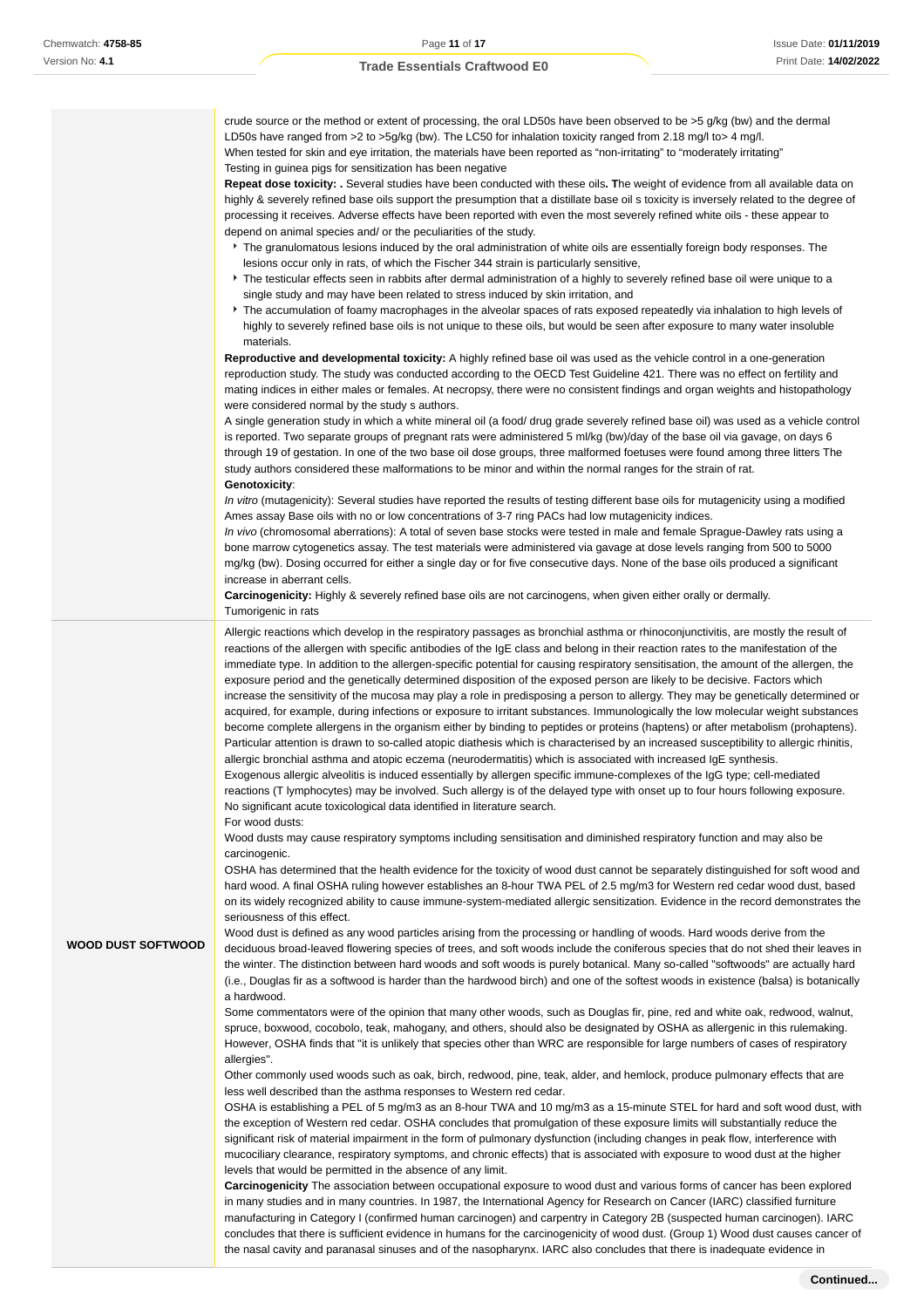crude source or the method or extent of processing, the oral LD50s have been observed to be >5 g/kg (bw) and the dermal LD50s have ranged from >2 to >5g/kg (bw). The LC50 for inhalation toxicity ranged from 2.18 mg/l to> 4 mg/l. When tested for skin and eye irritation, the materials have been reported as "non-irritating" to "moderately irritating" Testing in guinea pigs for sensitization has been negative

**Repeat dose toxicity: .** Several studies have been conducted with these oils**. T**he weight of evidence from all available data on highly & severely refined base oils support the presumption that a distillate base oil s toxicity is inversely related to the degree of processing it receives. Adverse effects have been reported with even the most severely refined white oils - these appear to depend on animal species and/ or the peculiarities of the study.

- The granulomatous lesions induced by the oral administration of white oils are essentially foreign body responses. The lesions occur only in rats, of which the Fischer 344 strain is particularly sensitive,
- The testicular effects seen in rabbits after dermal administration of a highly to severely refined base oil were unique to a single study and may have been related to stress induced by skin irritation, and
- The accumulation of foamy macrophages in the alveolar spaces of rats exposed repeatedly via inhalation to high levels of highly to severely refined base oils is not unique to these oils, but would be seen after exposure to many water insoluble materials.

**Reproductive and developmental toxicity:** A highly refined base oil was used as the vehicle control in a one-generation reproduction study. The study was conducted according to the OECD Test Guideline 421. There was no effect on fertility and mating indices in either males or females. At necropsy, there were no consistent findings and organ weights and histopathology were considered normal by the study s authors.

A single generation study in which a white mineral oil (a food/ drug grade severely refined base oil) was used as a vehicle control is reported. Two separate groups of pregnant rats were administered 5 ml/kg (bw)/day of the base oil via gavage, on days 6 through 19 of gestation. In one of the two base oil dose groups, three malformed foetuses were found among three litters The study authors considered these malformations to be minor and within the normal ranges for the strain of rat. **Genotoxicity**:

In vitro (mutagenicity): Several studies have reported the results of testing different base oils for mutagenicity using a modified Ames assay Base oils with no or low concentrations of 3-7 ring PACs had low mutagenicity indices.

In vivo (chromosomal aberrations): A total of seven base stocks were tested in male and female Sprague-Dawley rats using a bone marrow cytogenetics assay. The test materials were administered via gavage at dose levels ranging from 500 to 5000 mg/kg (bw). Dosing occurred for either a single day or for five consecutive days. None of the base oils produced a significant increase in aberrant cells.

**Carcinogenicity:** Highly & severely refined base oils are not carcinogens, when given either orally or dermally. Tumorigenic in rats

Allergic reactions which develop in the respiratory passages as bronchial asthma or rhinoconjunctivitis, are mostly the result of reactions of the allergen with specific antibodies of the IgE class and belong in their reaction rates to the manifestation of the immediate type. In addition to the allergen-specific potential for causing respiratory sensitisation, the amount of the allergen, the exposure period and the genetically determined disposition of the exposed person are likely to be decisive. Factors which increase the sensitivity of the mucosa may play a role in predisposing a person to allergy. They may be genetically determined or acquired, for example, during infections or exposure to irritant substances. Immunologically the low molecular weight substances become complete allergens in the organism either by binding to peptides or proteins (haptens) or after metabolism (prohaptens). Particular attention is drawn to so-called atopic diathesis which is characterised by an increased susceptibility to allergic rhinitis, allergic bronchial asthma and atopic eczema (neurodermatitis) which is associated with increased IgE synthesis. Exogenous allergic alveolitis is induced essentially by allergen specific immune-complexes of the IgG type; cell-mediated reactions (T lymphocytes) may be involved. Such allergy is of the delayed type with onset up to four hours following exposure. No significant acute toxicological data identified in literature search.

For wood dusts:

Wood dusts may cause respiratory symptoms including sensitisation and diminished respiratory function and may also be carcinogenic.

OSHA has determined that the health evidence for the toxicity of wood dust cannot be separately distinguished for soft wood and hard wood. A final OSHA ruling however establishes an 8-hour TWA PEL of 2.5 mg/m3 for Western red cedar wood dust, based on its widely recognized ability to cause immune-system-mediated allergic sensitization. Evidence in the record demonstrates the seriousness of this effect.

**WOOD DUST SOFTWOOD**

Wood dust is defined as any wood particles arising from the processing or handling of woods. Hard woods derive from the deciduous broad-leaved flowering species of trees, and soft woods include the coniferous species that do not shed their leaves in the winter. The distinction between hard woods and soft woods is purely botanical. Many so-called "softwoods" are actually hard (i.e., Douglas fir as a softwood is harder than the hardwood birch) and one of the softest woods in existence (balsa) is botanically a hardwood.

Some commentators were of the opinion that many other woods, such as Douglas fir, pine, red and white oak, redwood, walnut, spruce, boxwood, cocobolo, teak, mahogany, and others, should also be designated by OSHA as allergenic in this rulemaking. However, OSHA finds that "it is unlikely that species other than WRC are responsible for large numbers of cases of respiratory allergies".

Other commonly used woods such as oak, birch, redwood, pine, teak, alder, and hemlock, produce pulmonary effects that are less well described than the asthma responses to Western red cedar.

OSHA is establishing a PEL of 5 mg/m3 as an 8-hour TWA and 10 mg/m3 as a 15-minute STEL for hard and soft wood dust, with the exception of Western red cedar. OSHA concludes that promulgation of these exposure limits will substantially reduce the significant risk of material impairment in the form of pulmonary dysfunction (including changes in peak flow, interference with mucociliary clearance, respiratory symptoms, and chronic effects) that is associated with exposure to wood dust at the higher levels that would be permitted in the absence of any limit.

**Carcinogenicity** The association between occupational exposure to wood dust and various forms of cancer has been explored in many studies and in many countries. In 1987, the International Agency for Research on Cancer (IARC) classified furniture manufacturing in Category I (confirmed human carcinogen) and carpentry in Category 2B (suspected human carcinogen). IARC concludes that there is sufficient evidence in humans for the carcinogenicity of wood dust. (Group 1) Wood dust causes cancer of the nasal cavity and paranasal sinuses and of the nasopharynx. IARC also concludes that there is inadequate evidence in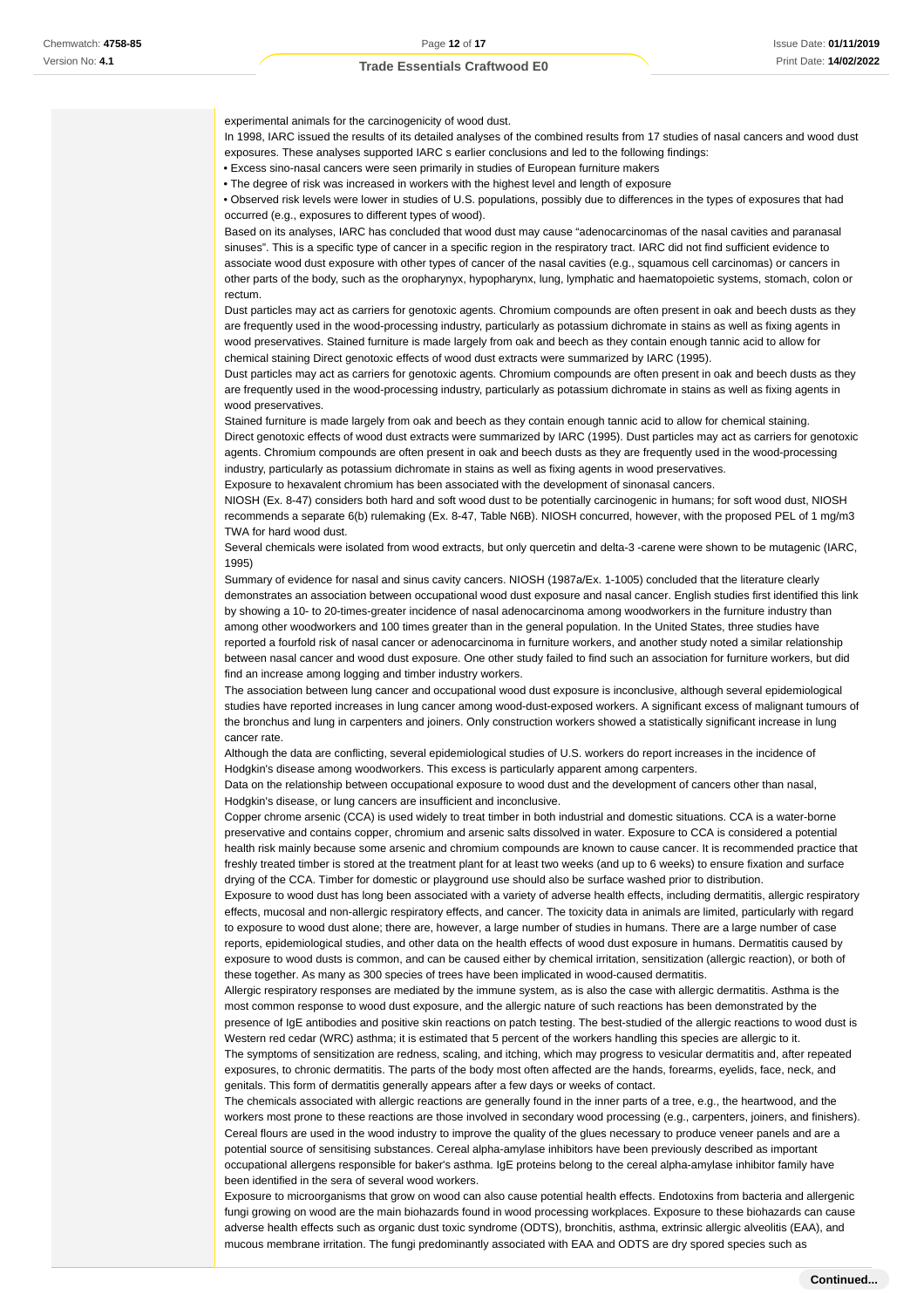experimental animals for the carcinogenicity of wood dust.

In 1998, IARC issued the results of its detailed analyses of the combined results from 17 studies of nasal cancers and wood dust exposures. These analyses supported IARC s earlier conclusions and led to the following findings:

• Excess sino-nasal cancers were seen primarily in studies of European furniture makers

• The degree of risk was increased in workers with the highest level and length of exposure

• Observed risk levels were lower in studies of U.S. populations, possibly due to differences in the types of exposures that had occurred (e.g., exposures to different types of wood).

Based on its analyses, IARC has concluded that wood dust may cause "adenocarcinomas of the nasal cavities and paranasal sinuses". This is a specific type of cancer in a specific region in the respiratory tract. IARC did not find sufficient evidence to associate wood dust exposure with other types of cancer of the nasal cavities (e.g., squamous cell carcinomas) or cancers in other parts of the body, such as the oropharynyx, hypopharynx, lung, lymphatic and haematopoietic systems, stomach, colon or rectum.

Dust particles may act as carriers for genotoxic agents. Chromium compounds are often present in oak and beech dusts as they are frequently used in the wood-processing industry, particularly as potassium dichromate in stains as well as fixing agents in wood preservatives. Stained furniture is made largely from oak and beech as they contain enough tannic acid to allow for chemical staining Direct genotoxic effects of wood dust extracts were summarized by IARC (1995).

Dust particles may act as carriers for genotoxic agents. Chromium compounds are often present in oak and beech dusts as they are frequently used in the wood-processing industry, particularly as potassium dichromate in stains as well as fixing agents in wood preservatives.

Stained furniture is made largely from oak and beech as they contain enough tannic acid to allow for chemical staining. Direct genotoxic effects of wood dust extracts were summarized by IARC (1995). Dust particles may act as carriers for genotoxic agents. Chromium compounds are often present in oak and beech dusts as they are frequently used in the wood-processing industry, particularly as potassium dichromate in stains as well as fixing agents in wood preservatives.

Exposure to hexavalent chromium has been associated with the development of sinonasal cancers.

NIOSH (Ex. 8-47) considers both hard and soft wood dust to be potentially carcinogenic in humans; for soft wood dust, NIOSH recommends a separate 6(b) rulemaking (Ex. 8-47, Table N6B). NIOSH concurred, however, with the proposed PEL of 1 mg/m3 TWA for hard wood dust.

Several chemicals were isolated from wood extracts, but only quercetin and delta-3 -carene were shown to be mutagenic (IARC, 1995)

Summary of evidence for nasal and sinus cavity cancers. NIOSH (1987a/Ex. 1-1005) concluded that the literature clearly demonstrates an association between occupational wood dust exposure and nasal cancer. English studies first identified this link by showing a 10- to 20-times-greater incidence of nasal adenocarcinoma among woodworkers in the furniture industry than among other woodworkers and 100 times greater than in the general population. In the United States, three studies have reported a fourfold risk of nasal cancer or adenocarcinoma in furniture workers, and another study noted a similar relationship between nasal cancer and wood dust exposure. One other study failed to find such an association for furniture workers, but did find an increase among logging and timber industry workers.

The association between lung cancer and occupational wood dust exposure is inconclusive, although several epidemiological studies have reported increases in lung cancer among wood-dust-exposed workers. A significant excess of malignant tumours of the bronchus and lung in carpenters and joiners. Only construction workers showed a statistically significant increase in lung cancer rate.

Although the data are conflicting, several epidemiological studies of U.S. workers do report increases in the incidence of Hodgkin's disease among woodworkers. This excess is particularly apparent among carpenters.

Data on the relationship between occupational exposure to wood dust and the development of cancers other than nasal, Hodgkin's disease, or lung cancers are insufficient and inconclusive.

Copper chrome arsenic (CCA) is used widely to treat timber in both industrial and domestic situations. CCA is a water-borne preservative and contains copper, chromium and arsenic salts dissolved in water. Exposure to CCA is considered a potential health risk mainly because some arsenic and chromium compounds are known to cause cancer. It is recommended practice that freshly treated timber is stored at the treatment plant for at least two weeks (and up to 6 weeks) to ensure fixation and surface drying of the CCA. Timber for domestic or playground use should also be surface washed prior to distribution.

Exposure to wood dust has long been associated with a variety of adverse health effects, including dermatitis, allergic respiratory effects, mucosal and non-allergic respiratory effects, and cancer. The toxicity data in animals are limited, particularly with regard to exposure to wood dust alone; there are, however, a large number of studies in humans. There are a large number of case reports, epidemiological studies, and other data on the health effects of wood dust exposure in humans. Dermatitis caused by exposure to wood dusts is common, and can be caused either by chemical irritation, sensitization (allergic reaction), or both of these together. As many as 300 species of trees have been implicated in wood-caused dermatitis.

Allergic respiratory responses are mediated by the immune system, as is also the case with allergic dermatitis. Asthma is the most common response to wood dust exposure, and the allergic nature of such reactions has been demonstrated by the presence of IgE antibodies and positive skin reactions on patch testing. The best-studied of the allergic reactions to wood dust is Western red cedar (WRC) asthma; it is estimated that 5 percent of the workers handling this species are allergic to it. The symptoms of sensitization are redness, scaling, and itching, which may progress to vesicular dermatitis and, after repeated exposures, to chronic dermatitis. The parts of the body most often affected are the hands, forearms, eyelids, face, neck, and genitals. This form of dermatitis generally appears after a few days or weeks of contact.

The chemicals associated with allergic reactions are generally found in the inner parts of a tree, e.g., the heartwood, and the workers most prone to these reactions are those involved in secondary wood processing (e.g., carpenters, joiners, and finishers). Cereal flours are used in the wood industry to improve the quality of the glues necessary to produce veneer panels and are a potential source of sensitising substances. Cereal alpha-amylase inhibitors have been previously described as important occupational allergens responsible for baker's asthma. IgE proteins belong to the cereal alpha-amylase inhibitor family have been identified in the sera of several wood workers.

Exposure to microorganisms that grow on wood can also cause potential health effects. Endotoxins from bacteria and allergenic fungi growing on wood are the main biohazards found in wood processing workplaces. Exposure to these biohazards can cause adverse health effects such as organic dust toxic syndrome (ODTS), bronchitis, asthma, extrinsic allergic alveolitis (EAA), and mucous membrane irritation. The fungi predominantly associated with EAA and ODTS are dry spored species such as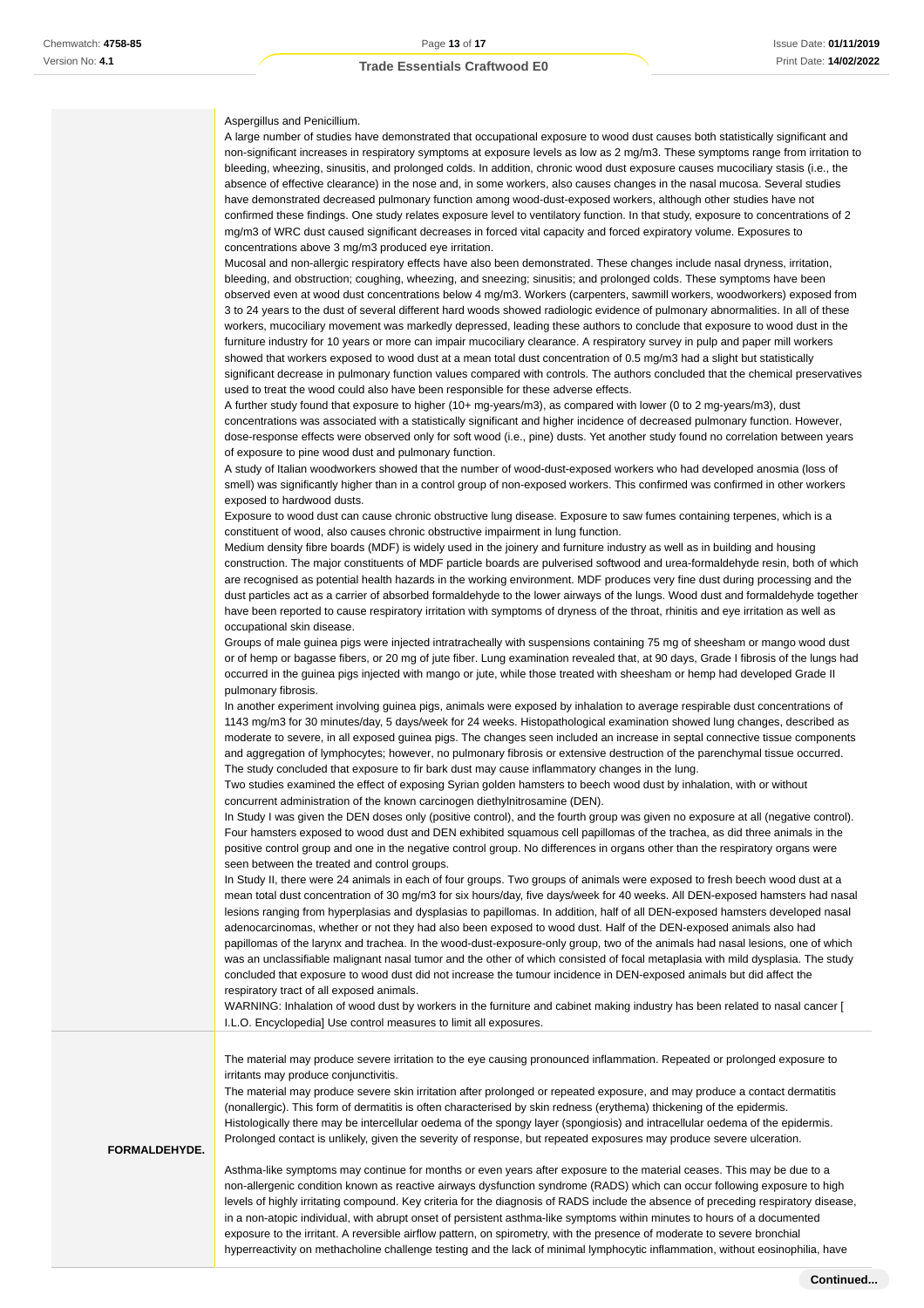#### Aspergillus and Penicillium.

A large number of studies have demonstrated that occupational exposure to wood dust causes both statistically significant and non-significant increases in respiratory symptoms at exposure levels as low as 2 mg/m3. These symptoms range from irritation to bleeding, wheezing, sinusitis, and prolonged colds. In addition, chronic wood dust exposure causes mucociliary stasis (i.e., the absence of effective clearance) in the nose and, in some workers, also causes changes in the nasal mucosa. Several studies have demonstrated decreased pulmonary function among wood-dust-exposed workers, although other studies have not confirmed these findings. One study relates exposure level to ventilatory function. In that study, exposure to concentrations of 2 mg/m3 of WRC dust caused significant decreases in forced vital capacity and forced expiratory volume. Exposures to concentrations above 3 mg/m3 produced eye irritation.

Mucosal and non-allergic respiratory effects have also been demonstrated. These changes include nasal dryness, irritation, bleeding, and obstruction; coughing, wheezing, and sneezing; sinusitis; and prolonged colds. These symptoms have been observed even at wood dust concentrations below 4 mg/m3. Workers (carpenters, sawmill workers, woodworkers) exposed from 3 to 24 years to the dust of several different hard woods showed radiologic evidence of pulmonary abnormalities. In all of these workers, mucociliary movement was markedly depressed, leading these authors to conclude that exposure to wood dust in the furniture industry for 10 years or more can impair mucociliary clearance. A respiratory survey in pulp and paper mill workers showed that workers exposed to wood dust at a mean total dust concentration of 0.5 mg/m3 had a slight but statistically significant decrease in pulmonary function values compared with controls. The authors concluded that the chemical preservatives used to treat the wood could also have been responsible for these adverse effects.

A further study found that exposure to higher (10+ mg-years/m3), as compared with lower (0 to 2 mg-years/m3), dust concentrations was associated with a statistically significant and higher incidence of decreased pulmonary function. However, dose-response effects were observed only for soft wood (i.e., pine) dusts. Yet another study found no correlation between years of exposure to pine wood dust and pulmonary function.

A study of Italian woodworkers showed that the number of wood-dust-exposed workers who had developed anosmia (loss of smell) was significantly higher than in a control group of non-exposed workers. This confirmed was confirmed in other workers exposed to hardwood dusts.

Exposure to wood dust can cause chronic obstructive lung disease. Exposure to saw fumes containing terpenes, which is a constituent of wood, also causes chronic obstructive impairment in lung function.

Medium density fibre boards (MDF) is widely used in the joinery and furniture industry as well as in building and housing construction. The major constituents of MDF particle boards are pulverised softwood and urea-formaldehyde resin, both of which are recognised as potential health hazards in the working environment. MDF produces very fine dust during processing and the dust particles act as a carrier of absorbed formaldehyde to the lower airways of the lungs. Wood dust and formaldehyde together have been reported to cause respiratory irritation with symptoms of dryness of the throat, rhinitis and eye irritation as well as occupational skin disease.

Groups of male guinea pigs were injected intratracheally with suspensions containing 75 mg of sheesham or mango wood dust or of hemp or bagasse fibers, or 20 mg of jute fiber. Lung examination revealed that, at 90 days, Grade I fibrosis of the lungs had occurred in the guinea pigs injected with mango or jute, while those treated with sheesham or hemp had developed Grade II pulmonary fibrosis.

In another experiment involving guinea pigs, animals were exposed by inhalation to average respirable dust concentrations of 1143 mg/m3 for 30 minutes/day, 5 days/week for 24 weeks. Histopathological examination showed lung changes, described as moderate to severe, in all exposed guinea pigs. The changes seen included an increase in septal connective tissue components and aggregation of lymphocytes; however, no pulmonary fibrosis or extensive destruction of the parenchymal tissue occurred. The study concluded that exposure to fir bark dust may cause inflammatory changes in the lung.

Two studies examined the effect of exposing Syrian golden hamsters to beech wood dust by inhalation, with or without concurrent administration of the known carcinogen diethylnitrosamine (DEN).

In Study I was given the DEN doses only (positive control), and the fourth group was given no exposure at all (negative control). Four hamsters exposed to wood dust and DEN exhibited squamous cell papillomas of the trachea, as did three animals in the positive control group and one in the negative control group. No differences in organs other than the respiratory organs were seen between the treated and control groups.

In Study II, there were 24 animals in each of four groups. Two groups of animals were exposed to fresh beech wood dust at a mean total dust concentration of 30 mg/m3 for six hours/day, five days/week for 40 weeks. All DEN-exposed hamsters had nasal lesions ranging from hyperplasias and dysplasias to papillomas. In addition, half of all DEN-exposed hamsters developed nasal adenocarcinomas, whether or not they had also been exposed to wood dust. Half of the DEN-exposed animals also had papillomas of the larynx and trachea. In the wood-dust-exposure-only group, two of the animals had nasal lesions, one of which was an unclassifiable malignant nasal tumor and the other of which consisted of focal metaplasia with mild dysplasia. The study concluded that exposure to wood dust did not increase the tumour incidence in DEN-exposed animals but did affect the respiratory tract of all exposed animals.

WARNING: Inhalation of wood dust by workers in the furniture and cabinet making industry has been related to nasal cancer [ I.L.O. Encyclopedia] Use control measures to limit all exposures.

The material may produce severe irritation to the eye causing pronounced inflammation. Repeated or prolonged exposure to irritants may produce conjunctivitis.

The material may produce severe skin irritation after prolonged or repeated exposure, and may produce a contact dermatitis (nonallergic). This form of dermatitis is often characterised by skin redness (erythema) thickening of the epidermis. Histologically there may be intercellular oedema of the spongy layer (spongiosis) and intracellular oedema of the epidermis. Prolonged contact is unlikely, given the severity of response, but repeated exposures may produce severe ulceration.

#### **FORMALDEHYDE.**

Asthma-like symptoms may continue for months or even years after exposure to the material ceases. This may be due to a non-allergenic condition known as reactive airways dysfunction syndrome (RADS) which can occur following exposure to high levels of highly irritating compound. Key criteria for the diagnosis of RADS include the absence of preceding respiratory disease, in a non-atopic individual, with abrupt onset of persistent asthma-like symptoms within minutes to hours of a documented exposure to the irritant. A reversible airflow pattern, on spirometry, with the presence of moderate to severe bronchial hyperreactivity on methacholine challenge testing and the lack of minimal lymphocytic inflammation, without eosinophilia, have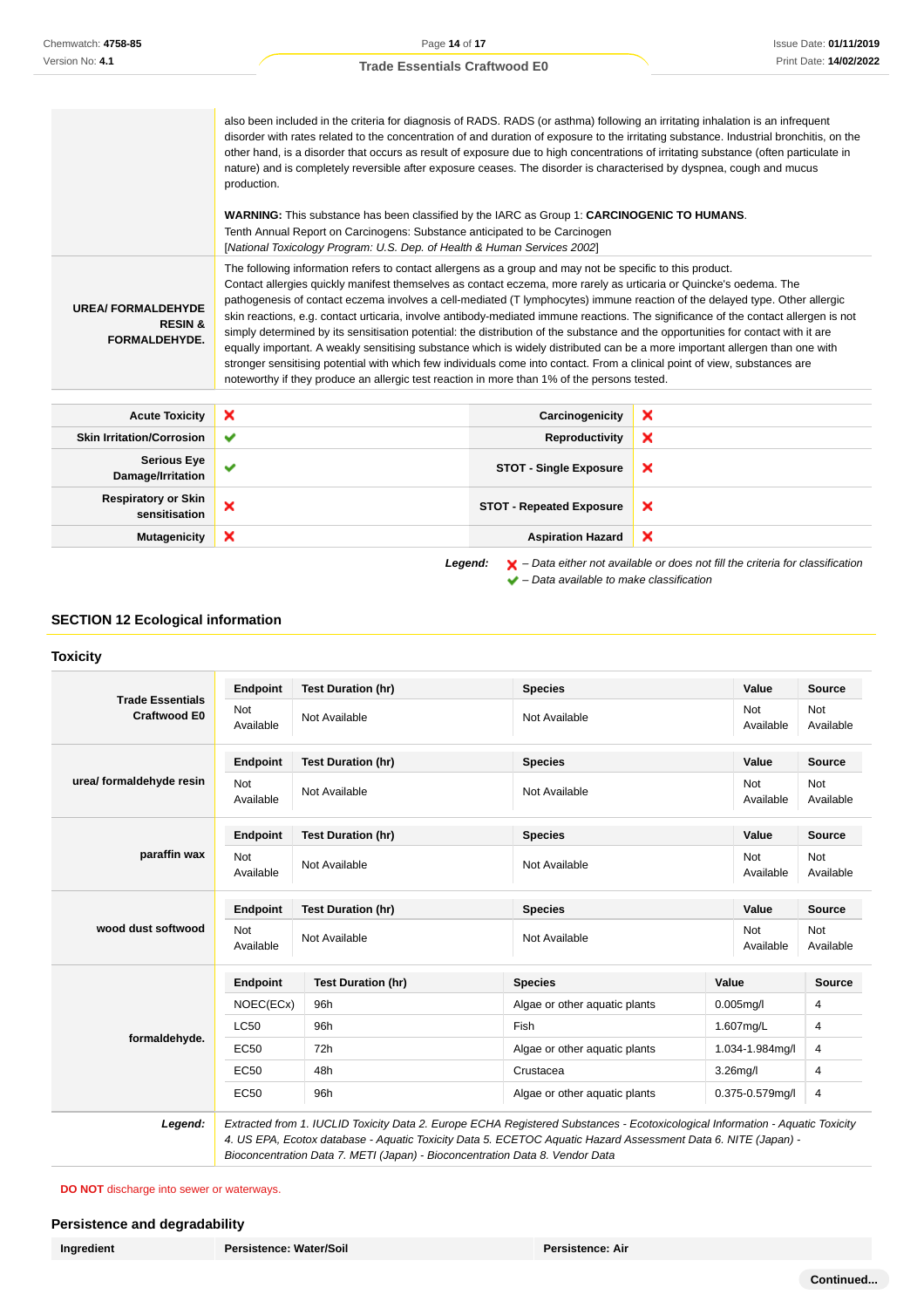also been included in the criteria for diagnosis of RADS. RADS (or asthma) following an irritating inhalation is an infrequent disorder with rates related to the concentration of and duration of exposure to the irritating substance. Industrial bronchitis, on the other hand, is a disorder that occurs as result of exposure due to high concentrations of irritating substance (often particulate in nature) and is completely reversible after exposure ceases. The disorder is characterised by dyspnea, cough and mucus production. **WARNING:** This substance has been classified by the IARC as Group 1: **CARCINOGENIC TO HUMANS**. Tenth Annual Report on Carcinogens: Substance anticipated to be Carcinogen [National Toxicology Program: U.S. Dep. of Health & Human Services 2002] **UREA/ FORMALDEHYDE RESIN & FORMALDEHYDE.** The following information refers to contact allergens as a group and may not be specific to this product. Contact allergies quickly manifest themselves as contact eczema, more rarely as urticaria or Quincke's oedema. The pathogenesis of contact eczema involves a cell-mediated (T lymphocytes) immune reaction of the delayed type. Other allergic skin reactions, e.g. contact urticaria, involve antibody-mediated immune reactions. The significance of the contact allergen is not simply determined by its sensitisation potential: the distribution of the substance and the opportunities for contact with it are equally important. A weakly sensitising substance which is widely distributed can be a more important allergen than one with stronger sensitising potential with which few individuals come into contact. From a clinical point of view, substances are noteworthy if they produce an allergic test reaction in more than 1% of the persons tested. **Acute Toxicity Carcinogenicity**

| <b>Acute Toxicity</b>                | ×            | Carcinogenicity                 | × |
|--------------------------------------|--------------|---------------------------------|---|
| <b>Skin Irritation/Corrosion</b>     | $\checkmark$ | Reproductivity                  | × |
| Serious Eye<br>Damage/Irritation     | v            | <b>STOT - Single Exposure</b>   | × |
| Respiratory or Skin<br>sensitisation | ×            | <b>STOT - Repeated Exposure</b> | × |
| <b>Mutagenicity</b>                  | ×            | <b>Aspiration Hazard</b>        | × |
|                                      |              |                                 |   |

**Legend:** – Data either not available or does not fill the criteria for classification  $\blacktriangleright$  – Data available to make classification

#### **SECTION 12 Ecological information**

#### **Toxicity**

|                                                | <b>Endpoint</b>         | <b>Test Duration (hr)</b> | <b>Species</b>                |       | Value            | <b>Source</b>    |
|------------------------------------------------|-------------------------|---------------------------|-------------------------------|-------|------------------|------------------|
| <b>Trade Essentials</b><br><b>Craftwood E0</b> | <b>Not</b><br>Available | Not Available             | Not Available                 |       | Not<br>Available | Not<br>Available |
|                                                | <b>Endpoint</b>         | <b>Test Duration (hr)</b> | <b>Species</b>                |       | Value            | <b>Source</b>    |
| urea/ formaldehyde resin                       | <b>Not</b><br>Available | Not Available             | Not Available                 |       | Not<br>Available | Not<br>Available |
|                                                | Endpoint                | <b>Test Duration (hr)</b> | <b>Species</b>                |       | Value            | <b>Source</b>    |
| paraffin wax                                   | <b>Not</b><br>Available | Not Available             | Not Available                 |       | Not<br>Available | Not<br>Available |
| wood dust softwood                             | <b>Endpoint</b>         | <b>Test Duration (hr)</b> | <b>Species</b>                |       | Value            | <b>Source</b>    |
|                                                | <b>Not</b><br>Available | Not Available             | Not Available                 |       | Not<br>Available | Not<br>Available |
|                                                | <b>Endpoint</b>         | <b>Test Duration (hr)</b> | <b>Species</b>                | Value |                  | <b>Source</b>    |
|                                                | NOEC(ECx)               | 96h                       | Algae or other aquatic plants |       | $0.005$ mg/l     | 4                |
| formaldehyde.                                  | LC50                    | 96h                       | Fish                          |       | 1.607mg/L        | 4                |
|                                                | <b>EC50</b>             | 72h                       | Algae or other aquatic plants |       | 1.034-1.984mg/l  | 4                |
|                                                | EC50                    | 48h                       | Crustacea                     |       | $3.26$ mg/l      | 4                |
|                                                | EC50                    | 96h                       | Algae or other aquatic plants |       | 0.375-0.579mg/l  | 4                |

4. US EPA, Ecotox database - Aquatic Toxicity Data 5. ECETOC Aquatic Hazard Assessment Data 6. NITE (Japan) - Bioconcentration Data 7. METI (Japan) - Bioconcentration Data 8. Vendor Data

**DO NOT** discharge into sewer or waterways.

#### **Persistence and degradability**

**Ingredient Persistence: Water/Soil Persistence: Air**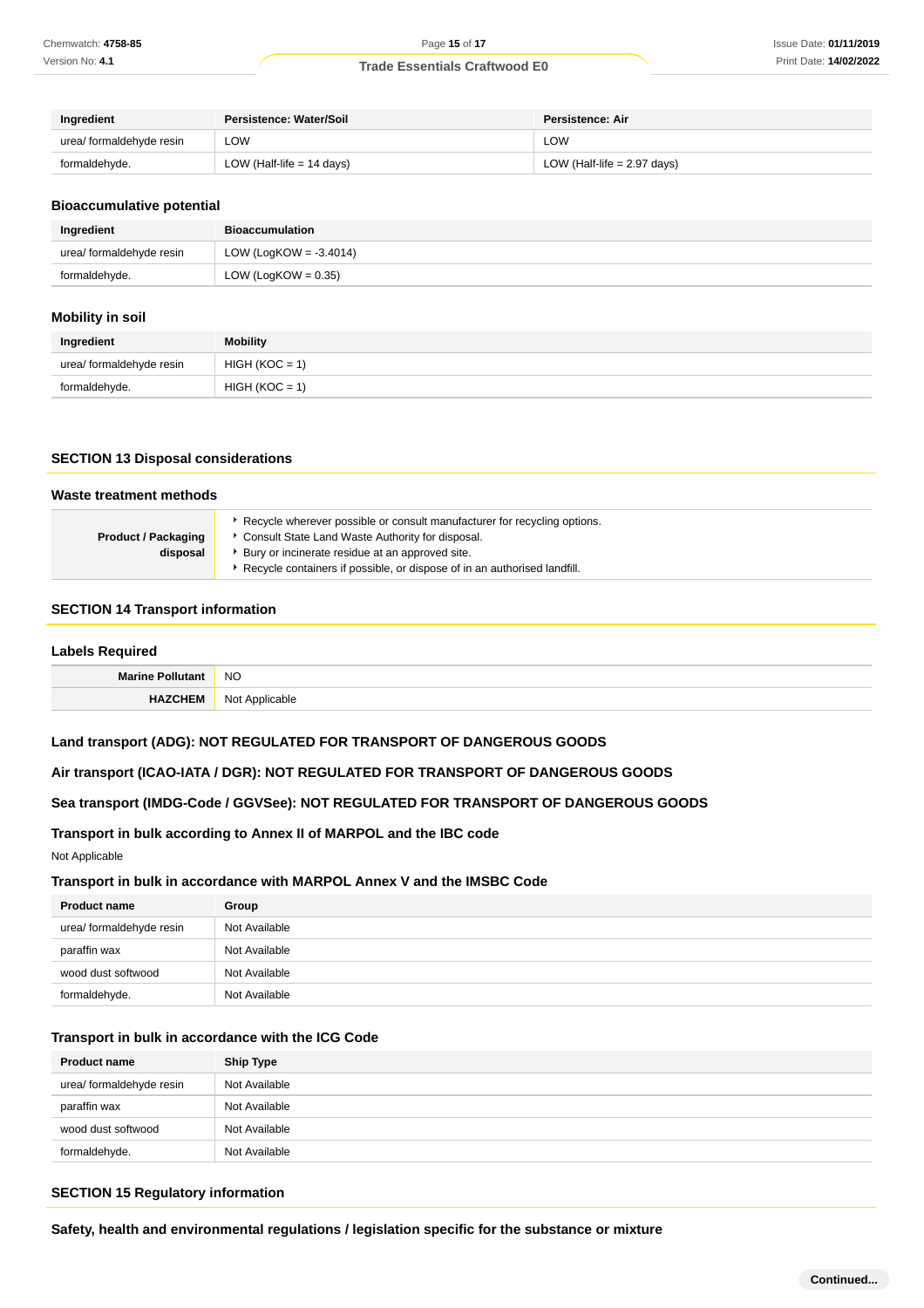| Ingredient               | <b>Persistence: Water/Soil</b> | Persistence: Air              |
|--------------------------|--------------------------------|-------------------------------|
| urea/ formaldehyde resin | LOW                            | <b>LOW</b>                    |
| formaldehyde.            | LOW (Half-life $= 14$ days)    | LOW (Half-life $= 2.97$ days) |

#### **Bioaccumulative potential**

| Ingredient               | <b>Bioaccumulation</b>    |
|--------------------------|---------------------------|
| urea/ formaldehyde resin | LOW (LogKOW = $-3.4014$ ) |
| formaldehyde.            | LOW (LogKOW = $0.35$ )    |

#### **Mobility in soil**

| Ingredient               | <b>Mobility</b>  |
|--------------------------|------------------|
| urea/ formaldehyde resin | $HIGH (KOC = 1)$ |
| formaldehyde.            | $HIGH (KOC = 1)$ |

#### **SECTION 13 Disposal considerations**

| Waste treatment methods    |                                                                                                                              |  |
|----------------------------|------------------------------------------------------------------------------------------------------------------------------|--|
| <b>Product / Packaging</b> | Recycle wherever possible or consult manufacturer for recycling options.<br>Consult State Land Waste Authority for disposal. |  |
| disposal                   | Bury or incinerate residue at an approved site.                                                                              |  |
|                            | Recycle containers if possible, or dispose of in an authorised landfill.                                                     |  |

#### **SECTION 14 Transport information**

#### **Labels Required**

| $\mathbf{A}$ . | <b>NO</b> |
|----------------|-----------|
| .              | . I       |
| . .            | ٦v        |

#### **Land transport (ADG): NOT REGULATED FOR TRANSPORT OF DANGEROUS GOODS**

## **Air transport (ICAO-IATA / DGR): NOT REGULATED FOR TRANSPORT OF DANGEROUS GOODS**

## **Sea transport (IMDG-Code / GGVSee): NOT REGULATED FOR TRANSPORT OF DANGEROUS GOODS**

## **Transport in bulk according to Annex II of MARPOL and the IBC code**

Not Applicable

#### **Transport in bulk in accordance with MARPOL Annex V and the IMSBC Code**

| <b>Product name</b>      | Group         |
|--------------------------|---------------|
| urea/ formaldehyde resin | Not Available |
| paraffin wax             | Not Available |
| wood dust softwood       | Not Available |
| formaldehyde.            | Not Available |

#### **Transport in bulk in accordance with the ICG Code**

| <b>Product name</b>      | <b>Ship Type</b> |
|--------------------------|------------------|
| urea/ formaldehyde resin | Not Available    |
| paraffin wax             | Not Available    |
| wood dust softwood       | Not Available    |
| formaldehyde.            | Not Available    |

#### **SECTION 15 Regulatory information**

**Safety, health and environmental regulations / legislation specific for the substance or mixture**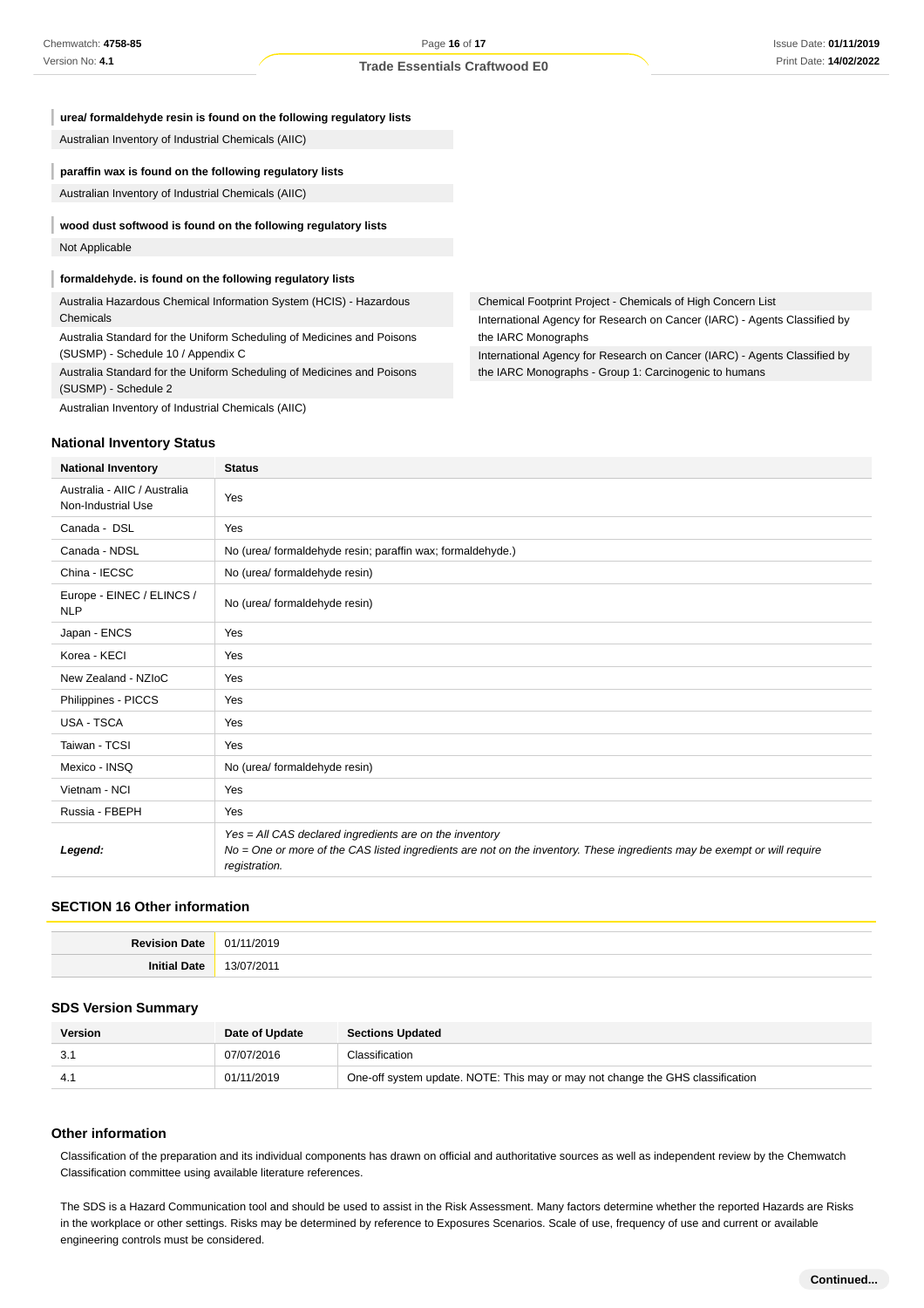| ureal formaldehyde resin is found on the following regulatory lists                                          |  |
|--------------------------------------------------------------------------------------------------------------|--|
| Australian Inventory of Industrial Chemicals (AIIC)                                                          |  |
| paraffin wax is found on the following regulatory lists                                                      |  |
| Australian Inventory of Industrial Chemicals (AIIC)                                                          |  |
|                                                                                                              |  |
| wood dust softwood is found on the following regulatory lists                                                |  |
| Not Applicable                                                                                               |  |
| formaldehyde. is found on the following regulatory lists                                                     |  |
|                                                                                                              |  |
| Australia Hazardous Chemical Information System (HCIS) - Hazardous                                           |  |
| Chemicals                                                                                                    |  |
| Australia Standard for the Uniform Scheduling of Medicines and Poisons<br>(SUSMP) - Schedule 10 / Appendix C |  |
|                                                                                                              |  |
| (SUSMP) - Schedule 2                                                                                         |  |

Australian Inventory of Industrial Chemicals (AIIC)

#### **National Inventory Status**

| <b>National Inventory</b>                          | <b>Status</b>                                                                                                                                                                                        |  |  |
|----------------------------------------------------|------------------------------------------------------------------------------------------------------------------------------------------------------------------------------------------------------|--|--|
| Australia - AIIC / Australia<br>Non-Industrial Use | Yes                                                                                                                                                                                                  |  |  |
| Canada - DSL                                       | Yes                                                                                                                                                                                                  |  |  |
| Canada - NDSL                                      | No (urea/ formaldehyde resin; paraffin wax; formaldehyde.)                                                                                                                                           |  |  |
| China - IECSC                                      | No (urea/ formaldehyde resin)                                                                                                                                                                        |  |  |
| Europe - EINEC / ELINCS /<br><b>NLP</b>            | No (urea/ formaldehyde resin)                                                                                                                                                                        |  |  |
| Japan - ENCS                                       | Yes                                                                                                                                                                                                  |  |  |
| Korea - KECI                                       | Yes                                                                                                                                                                                                  |  |  |
| New Zealand - NZIoC                                | Yes                                                                                                                                                                                                  |  |  |
| Philippines - PICCS                                | Yes                                                                                                                                                                                                  |  |  |
| <b>USA - TSCA</b>                                  | Yes                                                                                                                                                                                                  |  |  |
| Taiwan - TCSI                                      | Yes                                                                                                                                                                                                  |  |  |
| Mexico - INSQ                                      | No (urea/ formaldehyde resin)                                                                                                                                                                        |  |  |
| Vietnam - NCI                                      | Yes                                                                                                                                                                                                  |  |  |
| Russia - FBEPH                                     | Yes                                                                                                                                                                                                  |  |  |
| Legend:                                            | Yes = All CAS declared ingredients are on the inventory<br>No = One or more of the CAS listed ingredients are not on the inventory. These ingredients may be exempt or will require<br>registration. |  |  |

#### **SECTION 16 Other information**

#### **SDS Version Summary**

| <b>Version</b> | Date of Update | <b>Sections Updated</b>                                                        |  |
|----------------|----------------|--------------------------------------------------------------------------------|--|
| -3.1           | 07/07/2016     | Classification                                                                 |  |
|                | 01/11/2019     | One-off system update. NOTE: This may or may not change the GHS classification |  |

## **Other information**

Classification of the preparation and its individual components has drawn on official and authoritative sources as well as independent review by the Chemwatch Classification committee using available literature references.

The SDS is a Hazard Communication tool and should be used to assist in the Risk Assessment. Many factors determine whether the reported Hazards are Risks in the workplace or other settings. Risks may be determined by reference to Exposures Scenarios. Scale of use, frequency of use and current or available engineering controls must be considered.